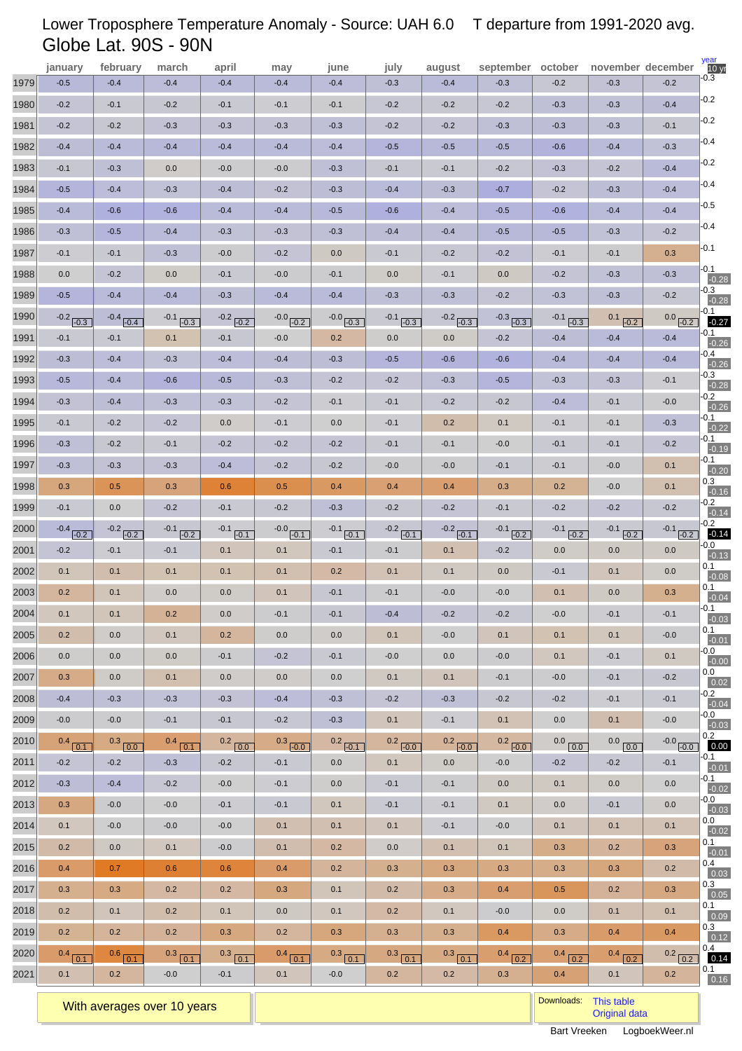# Lower Troposphere Temperature Anomaly - Source: UAH 6.0 T departure from 1991-2020 avg. Globe Lat. 90S - 90N

|      | january            | february      | march         | april              | may           | june          | july               | august           | september october  |                             |                          | november december          | year<br>10 <sub>yr</sub> |
|------|--------------------|---------------|---------------|--------------------|---------------|---------------|--------------------|------------------|--------------------|-----------------------------|--------------------------|----------------------------|--------------------------|
| 1979 | $-0.5$             | $-0.4$        | $-0.4$        | $-0.4$             | $-0.4$        | $-0.4$        | $-0.3$             | $-0.4$           | $-0.3$             | $-0.2$                      | $-0.3$                   | $-0.2$                     | -0.3                     |
| 1980 | $-0.2$             | $-0.1$        | $-0.2$        | $-0.1$             | $-0.1$        | $-0.1$        | $-0.2$             | $-0.2$           | $-0.2$             | $-0.3$                      | $-0.3$                   | $-0.4$                     | $-0.2$                   |
| 1981 | $-0.2$             | $-0.2$        | $-0.3$        | $-0.3$             | $-0.3$        | $-0.3$        | $-0.2$             | $-0.2$           | $-0.3$             | $-0.3$                      | $-0.3$                   | $-0.1$                     | $-0.2$                   |
| 1982 | $-0.4$             | $-0.4$        | $-0.4$        | $-0.4$             | $-0.4$        | $-0.4$        | $-0.5$             | $-0.5$           | $-0.5$             | $-0.6$                      | $-0.4$                   | $-0.3$                     | $-0.4$                   |
| 1983 | $-0.1$             | $-0.3$        | 0.0           | $-0.0$             | $-0.0$        | $-0.3$        | $-0.1$             | $-0.1$           | $-0.2$             | $-0.3$                      | $-0.2$                   | $-0.4$                     | $-0.2$                   |
| 1984 | $-0.5$             | $-0.4$        | $-0.3$        | $-0.4$             | $-0.2$        | $-0.3$        | $-0.4$             | $-0.3$           | $-0.7$             | $-0.2$                      | $-0.3$                   | $-0.4$                     | $-0.4$                   |
| 1985 | $-0.4$             | $-0.6$        | $-0.6$        | $-0.4$             | $-0.4$        | $-0.5$        | $-0.6$             | $-0.4$           | $-0.5$             | $-0.6$                      | $-0.4$                   | $-0.4$                     | $-0.5$                   |
| 1986 | $-0.3$             | $-0.5$        | $-0.4$        | $-0.3$             | $-0.3$        | $-0.3$        | $-0.4$             | $-0.4$           | $-0.5$             | $-0.5$                      | $-0.3$                   | $-0.2$                     | $-0.4$                   |
| 1987 | $-0.1$             | $-0.1$        | $-0.3$        | $-0.0$             | $-0.2$        | 0.0           | $-0.1$             | $-0.2$           | $-0.2$             | $-0.1$                      | $-0.1$                   | 0.3                        | $-0.1$                   |
| 1988 | 0.0                | $-0.2$        | 0.0           | $-0.1$             | $-0.0$        | $-0.1$        | 0.0                | $-0.1$           | 0.0                | $-0.2$                      | $-0.3$                   | $-0.3$                     | $-0.1$<br>$-0.28$        |
| 1989 | $-0.5$             | $-0.4$        | $-0.4$        | $-0.3$             | $-0.4$        | $-0.4$        | $-0.3$             | $-0.3$           | $-0.2$             | $-0.3$                      | $-0.3$                   | $-0.2$                     | -0.3<br>$-0.28$          |
| 1990 | $-0.2$ $-0.3$      | $-0.4$ $-0.4$ | $-0.1$ $-0.3$ | $-0.2$ $-0.2$      | $-0.0$ $-0.2$ | $-0.0$ $-0.3$ | $-0.1$ $-0.3$      | $-0.2$ $-0.3$    | $-0.3$ $-0.3$      | $-0.1$<br>$\overline{-0.3}$ | 0.1<br>$\overline{-0.2}$ | 0.0 <sub>r</sub><br>$-0.2$ | -0.1<br>$-0.27$          |
| 1991 | $-0.1$             | $-0.1$        | 0.1           | $-0.1$             | $-0.0$        | 0.2           | 0.0                | 0.0              | $-0.2$             | $-0.4$                      | $-0.4$                   | $-0.4$                     | -0.1<br>$-0.26$          |
| 1992 | $-0.3$             | $-0.4$        | $-0.3$        | $-0.4$             | $-0.4$        | $-0.3$        | $-0.5$             | $-0.6$           | $-0.6$             | $-0.4$                      | $-0.4$                   | $-0.4$                     | -0.4<br>$-0.26$          |
| 1993 | $-0.5$             | $-0.4$        | $-0.6$        | $-0.5$             | $-0.3$        | $-0.2$        | $-0.2$             | $-0.3$           | $-0.5$             | $-0.3$                      | $-0.3$                   | $-0.1$                     | $-0.3$<br>$-0.28$        |
| 1994 | $-0.3$             | $-0.4$        | $-0.3$        | $-0.3$             | $-0.2$        | $-0.1$        | $-0.1$             | $-0.2$           | $-0.2$             | $-0.4$                      | $-0.1$                   | $-0.0$                     | $-0.2$<br>$-0.26$        |
| 1995 | $-0.1$             | $-0.2$        | $-0.2$        | 0.0                | $-0.1$        | 0.0           | $-0.1$             | 0.2              | 0.1                | $-0.1$                      | $-0.1$                   | $-0.3$                     | -0.1<br>$-0.22$          |
| 1996 | $-0.3$             | $-0.2$        | $-0.1$        | $-0.2$             | $-0.2$        | $-0.2$        | $-0.1$             | $-0.1$           | $-0.0$             | $-0.1$                      | $-0.1$                   | $-0.2$                     | -0.1<br>$-0.19$          |
| 1997 | $-0.3$             | $-0.3$        | $-0.3$        | $-0.4$             | $-0.2$        | $-0.2$        | $-0.0$             | $-0.0$           | $-0.1$             | $-0.1$                      | $-0.0$                   | 0.1                        | -0.1<br>$-0.20$          |
| 1998 | 0.3                | 0.5           | 0.3           | 0.6                | 0.5           | 0.4           | 0.4                | 0.4              | 0.3                | 0.2                         | $-0.0$                   | 0.1                        | 0.3<br>$-0.16$           |
| 1999 | $-0.1$             | 0.0           | $-0.2$        | $-0.1$             | $-0.2$        | $-0.3$        | $-0.2$             | $-0.2$           | $-0.1$             | $-0.2$                      | $-0.2$                   | $-0.2$                     | $-0.2$<br>$-0.14$        |
| 2000 | $-0.4$ $-0.2$      | $-0.2$ $-0.2$ | $-0.1$ $-0.2$ | $-0.1$ $-0.1$      | $-0.0$ $-0.1$ | $-0.1$ $-0.1$ | $-0.2$ $-0.1$      | $-0.2$ $-0.1$    | $-0.1$ $-0.2$      | $-0.1$ $-0.2$               | $-0.1$ $-0.2$            | $-0.1$ $-0.2$              | $-0.2$<br>$-0.14$        |
| 2001 | $-0.2$             | $-0.1$        | $-0.1$        | 0.1                | 0.1           | $-0.1$        | $-0.1$             | 0.1              | $-0.2$             | 0.0                         | 0.0                      | 0.0                        | -0.0<br>$-0.13$          |
| 2002 | 0.1                | 0.1           | 0.1           | 0.1                | 0.1           | 0.2           | 0.1                | 0.1              | 0.0                | $-0.1$                      | 0.1                      | 0.0                        | 0.1<br>$-0.08$           |
| 2003 | 0.2                | 0.1           | 0.0           | 0.0                | 0.1           | $-0.1$        | $-0.1$             | $-0.0$           | $-0.0$             | 0.1                         | 0.0                      | 0.3                        | 0.1<br>$-0.04$           |
| 2004 | 0.1                | 0.1           | 0.2           | 0.0                | $-0.1$        | $-0.1$        | $-0.4$             | $-0.2$           | $-0.2$             | $-0.0$                      | $-0.1$                   | $-0.1$                     | $-0.1$<br>$-0.03$        |
| 2005 | 0.2                | 0.0           | 0.1           | 0.2                | 0.0           | 0.0           | 0.1                | $-0.0$           | 0.1                | 0.1                         | 0.1                      | $-0.0$                     | 0.1<br>$-0.01$           |
| 2006 | 0.0                | 0.0           | 0.0           | $-0.1$             | $-0.2$        | $-0.1$        | $-0.0$             | 0.0              | $-0.0$             | 0.1                         | $-0.1$                   | 0.1                        | -0.0<br>$-0.00$          |
| 2007 | 0.3                | 0.0           | 0.1           | 0.0                | 0.0           | 0.0           | 0.1                | 0.1              | $-0.1$             | $-0.0$                      | $-0.1$                   | $-0.2$                     | 0.0<br>0.02              |
| 2008 | $-0.4$             | $-0.3$        | $-0.3$        | $-0.3$             | $-0.4$        | $-0.3$        | $-0.2$             | $-0.3$           | $-0.2$             | $-0.2$                      | $-0.1$                   | $-0.1$                     | $-0.2$<br>$-0.04$        |
| 2009 | $-0.0$             | $-0.0$        | $-0.1$        | $-0.1$             | $-0.2$        | $-0.3$        | 0.1                | $-0.1$           | 0.1                | 0.0                         | 0.1                      | $-0.0$                     | $-0.0$<br>$-0.03$        |
| 2010 | $0.4$ 0.1          | $0.3$ 0.0     | $0.4$ 0.1     | $0.2$ 0.0          | $0.3$ $-0.0$  | $0.2$ $-0.1$  | $0.2$ $-0.0$       | $0.2$ $-0.0$     | $0.2$ $-0.0$       | $0.0$ $\boxed{0.0}$         | $0.0$ $\boxed{0.0}$      | $-0.0$ $-0.0$              | 0.2<br>0.00              |
| 2011 | $-0.2$             | $-0.2$        | $-0.3$        | $-0.2$             | $-0.1$        | 0.0           | 0.1                | 0.0              | $-0.0$             | $-0.2$                      | $-0.2$                   | $-0.1$                     | $-0.1$<br>$-0.01$        |
| 2012 | $-0.3$             | $-0.4$        | $-0.2$        | $-0.0$             | $-0.1$        | 0.0           | $-0.1$             | $-0.1$           | 0.0                | 0.1                         | 0.0                      | 0.0                        | $-0.1$<br>$-0.02$        |
| 2013 | 0.3                | $-0.0$        | $-0.0$        | $-0.1$             | $-0.1$        | 0.1           | $-0.1$             | $-0.1$           | 0.1                | 0.0                         | $-0.1$                   | 0.0                        | -0.0<br>$-0.03$          |
| 2014 | 0.1                | $-0.0$        | $-0.0$        | $-0.0$             | 0.1           | 0.1           | 0.1                | $-0.1$           | $-0.0$             | 0.1                         | 0.1                      | 0.1                        | 0.0<br>$-0.02$           |
| 2015 | 0.2                | 0.0           | 0.1           | $-0.0$             | 0.1           | 0.2           | 0.0                | 0.1              | 0.1                | 0.3                         | 0.2                      | 0.3                        | 0.1                      |
| 2016 | 0.4                | 0.7           | 0.6           | 0.6                | 0.4           | 0.2           | 0.3                | 0.3              | 0.3                | 0.3                         | 0.3                      | 0.2                        | $-0.01$<br>0.4           |
| 2017 | 0.3                | 0.3           | 0.2           | 0.2                | 0.3           | 0.1           | 0.2                | 0.3              | 0.4                | 0.5                         | 0.2                      | 0.3                        | 0.03<br>0.3              |
| 2018 | 0.2                | 0.1           | 0.2           | 0.1                | 0.0           | 0.1           | 0.2                | 0.1              | $-0.0$             | 0.0                         | 0.1                      | 0.1                        | 0.05<br>0.1              |
| 2019 | 0.2                | 0.2           | 0.2           | 0.3                | 0.2           | 0.3           | 0.3                | 0.3              | 0.4                | 0.3                         | 0.4                      | 0.4                        | 0.09<br>0.3              |
| 2020 |                    | $0.6$ $0.1$   | $0.3$ $0.1$   | $0.3$ $\sqrt{0.1}$ | $0.4$ $0.1$   | $0.3$ 0.1     |                    |                  |                    | $0.4$ $0.2$                 | $0.4$ $\boxed{0.2}$      | 0.2                        | 0.12<br>0.4              |
| 2021 | $0.4$ $0.1$<br>0.1 | 0.2           | $-0.0$        | $-0.1$             | 0.1           | $-0.0$        | $0.3$ $0.1$<br>0.2 | $0.3$ 0.1<br>0.2 | $0.4$ $0.2$<br>0.3 | 0.4                         | 0.1                      | $\boxed{0.2}$<br>0.2       | 0.14<br>0.1              |
|      |                    |               |               |                    |               |               |                    |                  |                    |                             |                          |                            | 0.16                     |

With averages over 10 years **Downloads:** [This table](http://www.logboekweer.nl/International/GLOBE.CSV) with averages over 10 years **Downloads:** This table with averages over 10 years **Downloads:** This table with averages over 10 years **Downloads:** Original downloads: Criti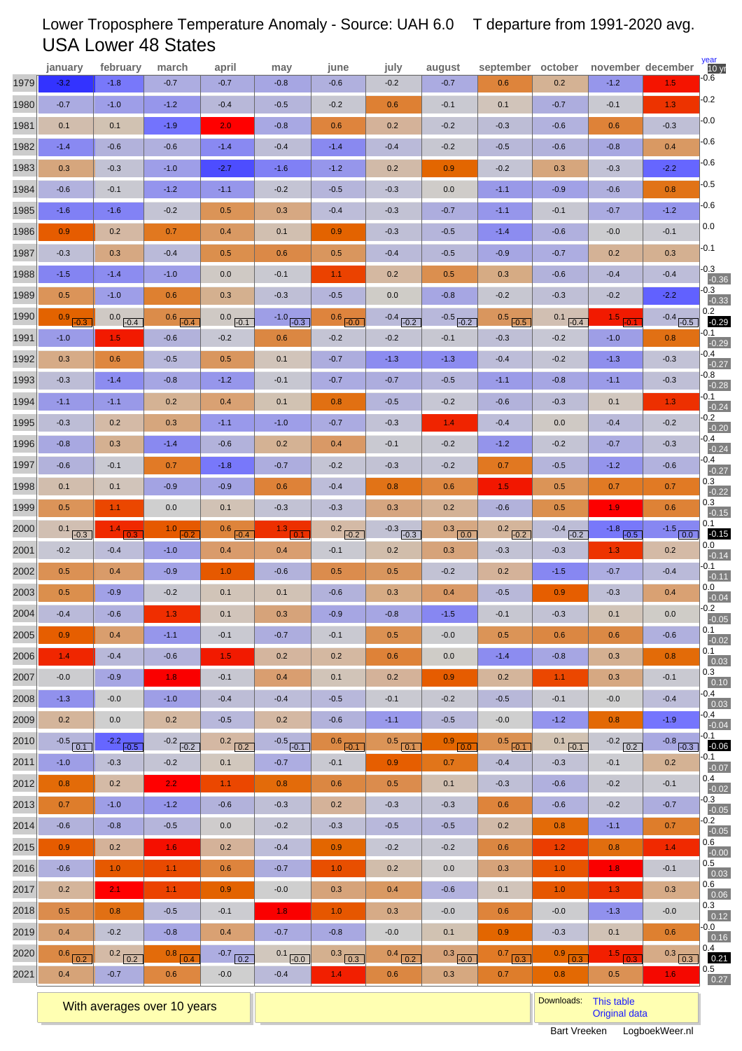# Lower Troposphere Temperature Anomaly - Source: UAH 6.0 T departure from 1991-2020 avg. USA Lower 48 States

|      | january      | february             | march            | april                | may           | june                | july             | august        | september october |               | november december |                  | year<br>10 <sub>yr</sub> |
|------|--------------|----------------------|------------------|----------------------|---------------|---------------------|------------------|---------------|-------------------|---------------|-------------------|------------------|--------------------------|
| 1979 | $-3.2$       | $-1.8$               | $-0.7$           | $-0.7$               | $-0.8$        | $-0.6$              | $-0.2$           | $-0.7$        | 0.6               | 0.2           | $-1.2$            | 1.5              | 0.6                      |
| 1980 | $-0.7$       | $-1.0$               | $-1.2$           | $-0.4$               | $-0.5$        | $-0.2$              | 0.6              | $-0.1$        | 0.1               | $-0.7$        | $-0.1$            | 1.3              | $-0.2$                   |
| 1981 | 0.1          | 0.1                  | $-1.9$           | 2.0 <sub>1</sub>     | $-0.8$        | 0.6                 | 0.2              | $-0.2$        | $-0.3$            | $-0.6$        | 0.6               | $-0.3$           | $-0.0$                   |
| 1982 | $-1.4$       | $-0.6$               | $-0.6$           | $-1.4$               | $-0.4$        | $-1.4$              | $-0.4$           | $-0.2$        | $-0.5$            | $-0.6$        | $-0.8$            | 0.4              | $-0.6$                   |
| 1983 | 0.3          | $-0.3$               | $-1.0$           | $-2.7$               | $-1.6$        | $-1.2$              | 0.2              | 0.9           | $-0.2$            | 0.3           | $-0.3$            | $-2.2$           | $-0.6$                   |
| 1984 | $-0.6$       | $-0.1$               | $-1.2$           | $-1.1$               | $-0.2$        | $-0.5$              | $-0.3$           | 0.0           | $-1.1$            | $-0.9$        | $-0.6$            | 0.8              | $-0.5$                   |
| 1985 | $-1.6$       | $-1.6$               | $-0.2$           | 0.5                  | 0.3           | $-0.4$              | $-0.3$           | $-0.7$        | $-1.1$            | $-0.1$        | $-0.7$            | $-1.2$           | $-0.6$                   |
| 1986 | 0.9          | 0.2                  | 0.7              | 0.4                  | 0.1           | 0.9                 | $-0.3$           | $-0.5$        | $-1.4$            | $-0.6$        | $-0.0$            | $-0.1$           | 0.0                      |
| 1987 | $-0.3$       | 0.3                  | $-0.4$           | 0.5                  | 0.6           | 0.5                 | $-0.4$           | $-0.5$        | $-0.9$            | $-0.7$        | 0.2               | 0.3              | $-0.1$                   |
| 1988 | $-1.5$       | $-1.4$               | $-1.0$           | 0.0                  | $-0.1$        | 1.1                 | 0.2              | 0.5           | 0.3               | $-0.6$        | $-0.4$            | $-0.4$           | $-0.3$<br>$-0.36$        |
| 1989 | 0.5          | $-1.0$               | 0.6              | 0.3                  | $-0.3$        | $-0.5$              | 0.0              | $-0.8$        | $-0.2$            | $-0.3$        | $-0.2$            | $-2.2$           | -0.3<br>$-0.33$          |
| 1990 | $0.9$ $-0.3$ | $0.0$ $-0.4$         | $0.6$ $-0.4$     | $0.0$ $-0.1$         | $-1.0$ $-0.3$ | $0.6$ $-0.0$        | $-0.4$ $-0.2$    | $-0.5$ $-0.2$ | $0.5$ $-0.5$      | 0.1<br>$-0.4$ | 1.5 .0.1          | $-0.4$ $-0.5$    | 0.2<br>$-0.29$           |
| 1991 | $-1.0$       | 1.5                  | $-0.6$           | $-0.2$               | 0.6           | $-0.2$              | $-0.2$           | $-0.1$        | $-0.3$            | $-0.2$        | $-1.0$            | 0.8              | $-0.1$<br>$-0.29$        |
| 1992 | 0.3          | 0.6                  | $-0.5$           | 0.5                  | 0.1           | $-0.7$              | $-1.3$           | $-1.3$        | $-0.4$            | $-0.2$        | $-1.3$            | $-0.3$           | -0.4<br>$-0.27$          |
| 1993 | $-0.3$       | $-1.4$               | $-0.8$           | $-1.2$               | $-0.1$        | $-0.7$              | $-0.7$           | $-0.5$        | $-1.1$            | $-0.8$        | $-1.1$            | $-0.3$           | $-0.8$<br>$-0.28$        |
| 1994 | $-1.1$       | $-1.1$               | 0.2              | 0.4                  | 0.1           | 0.8                 | $-0.5$           | $-0.2$        | $-0.6$            | $-0.3$        | 0.1               | 1.3 <sub>l</sub> | $-0.1$<br>$-0.24$        |
| 1995 | $-0.3$       | 0.2                  | 0.3              | $-1.1$               | $-1.0$        | $-0.7$              | $-0.3$           | 1.4           | $-0.4$            | 0.0           | $-0.4$            | $-0.2$           | -0.2<br>$-0.20$          |
| 1996 | $-0.8$       | 0.3                  | $-1.4$           | $-0.6$               | 0.2           | 0.4                 | $-0.1$           | $-0.2$        | $-1.2$            | $-0.2$        | $-0.7$            | $-0.3$           | $-0.4$<br>$-0.24$        |
| 1997 | $-0.6$       | $-0.1$               | 0.7              | $-1.8$               | $-0.7$        | $-0.2$              | $-0.3$           | $-0.2$        | 0.7               | $-0.5$        | $-1.2$            | $-0.6$           | $-0.4$<br>$-0.27$        |
| 1998 | 0.1          | 0.1                  | $-0.9$           | $-0.9$               | 0.6           | $-0.4$              | 0.8              | 0.6           | 1.5               | 0.5           | 0.7               | 0.7              | 0.3<br>$-0.22$           |
| 1999 | 0.5          | 1.1                  | 0.0              | 0.1                  | $-0.3$        | $-0.3$              | 0.3              | 0.2           | $-0.6$            | 0.5           | 1.9               | 0.6              | 0.3<br>$-0.15$           |
| 2000 | $0.1$ $-0.3$ | $1.4$ <sub>0.3</sub> | $1.0$ $-0.2$     | $0.6$ $-0.4$         | 13 01         | $0.2$ $-0.2$        | $-0.3$ $-0.3$    | $0.3$ $0.0$   | $0.2$ $-0.2$      | $-0.4$ $-0.2$ | $-1.8$ $-0.5$     | $-1.5$ 0.0       | 0.1<br>$-0.15$           |
| 2001 | $-0.2$       | $-0.4$               | $-1.0$           | 0.4                  | 0.4           | $-0.1$              | 0.2              | 0.3           | $-0.3$            | $-0.3$        | 1.3               | 0.2              | $0.0\,$<br>$-0.14$       |
| 2002 | 0.5          | 0.4                  | $-0.9$           | 1.0                  | $-0.6$        | 0.5                 | 0.5              | $-0.2$        | 0.2               | $-1.5$        | $-0.7$            | $-0.4$           | -0.1<br>$-0.11$          |
| 2003 | 0.5          | $-0.9$               | $-0.2$           | 0.1                  | 0.1           | $-0.6$              | 0.3              | 0.4           | $-0.5$            | 0.9           | $-0.3$            | 0.4              | 0.0<br>$-0.04$           |
| 2004 | $-0.4$       | $-0.6$               | 1.3              | 0.1                  | 0.3           | $-0.9$              | $-0.8$           | $-1.5$        | $-0.1$            | $-0.3$        | 0.1               | 0.0              | $-0.2$<br>$-0.05$        |
| 2005 | 0.9          | 0.4                  | $-1.1$           | $-0.1$               | $-0.7$        | $-0.1$              | 0.5              | $-0.0$        | 0.5               | 0.6           | 0.6               | $-0.6$           | 0.1<br>$-0.02$           |
| 2006 | 1.4          | $-0.4$               | $-0.6$           | 1.5 <sub>1</sub>     | 0.2           | 0.2                 | 0.6              | 0.0           | $-1.4$            | $-0.8$        | 0.3               | 0.8              | 0.1<br>0.03              |
| 2007 | $-0.0$       | $-0.9$               | $1.8$            | $-0.1$               | 0.4           | 0.1                 | 0.2              | 0.9           | 0.2               | 1.1           | 0.3               | $-0.1$           | 0.3<br>0.10              |
| 2008 | $-1.3$       | $-0.0$               | $-1.0$           | $-0.4$               | $-0.4$        | $-0.5$              | $-0.1$           | $-0.2$        | $-0.5$            | $-0.1$        | $-0.0$            | $-0.4$           | $-0.4$<br>0.03           |
| 2009 | 0.2          | 0.0                  | 0.2              | $-0.5$               | 0.2           | $-0.6$              | $-1.1$           | $-0.5$        | $-0.0$            | $-1.2$        | 0.8               | $-1.9$           | -0.4<br>$-0.04$          |
| 2010 | $-0.5$ $0.1$ | $-2.2$ $-0.5$        | $-0.2$ $-0.2$    | $0.2$ 0.2            | $-0.5$ $-0.1$ | $0.6$ $-0.1$        | $0.5$ 0.1        | $0.9$ $0.0$   | $0.5$ $-0.1$      | $0.1$ $-0.1$  | $-0.2$ 0.2        | $-0.8$ $-0.3$    | -0.1<br>$-0.06$          |
| 2011 | $-1.0$       | $-0.3$               | $-0.2$           | 0.1                  | $-0.7$        | $-0.1$              | 0.9 <sub>1</sub> | 0.7           | $-0.4$            | $-0.3$        | $-0.1$            | 0.2              | $-0.1$<br>$-0.07$        |
| 2012 | 0.8          | 0.2                  | $2.2^{\circ}$    | 1.1                  | 0.8           | 0.6                 | 0.5              | 0.1           | $-0.3$            | $-0.6$        | $-0.2$            | $-0.1$           | 0.4<br>$-0.02$           |
| 2013 | 0.7          | $-1.0$               | $-1.2$           | $-0.6$               | $-0.3$        | 0.2                 | $-0.3$           | $-0.3$        | 0.6               | $-0.6$        | $-0.2$            | $-0.7$           | $-0.3$<br>$-0.05$        |
| 2014 | $-0.6$       | $-0.8$               | $-0.5$           | 0.0                  | $-0.2$        | $-0.3$              | $-0.5$           | $-0.5$        | 0.2               | 0.8           | $-1.1$            | 0.7              | $-0.2$<br>$-0.05$        |
| 2015 | 0.9          | 0.2                  | 1.6              | 0.2                  | $-0.4$        | 0.9                 | $-0.2$           | $-0.2$        | 0.6               | 1.2           | 0.8               | 1.4              | 0.6<br>$-0.00$           |
| 2016 | $-0.6$       | 1.0                  | 1.1 <sub>1</sub> | 0.6                  | $-0.7$        | 1.0 <sub>1</sub>    | 0.2              | 0.0           | 0.3               | 1.0           | 1.8               | $-0.1$           | 0.5<br>0.03              |
| 2017 | 0.2          | 2.1                  | 1.1 <sub>1</sub> | 0.9                  | $-0.0$        | 0.3                 | 0.4              | $-0.6$        | 0.1               | 1.0           | 1.3               | 0.3              | 0.6<br>0.06              |
| 2018 | 0.5          | 0.8                  | $-0.5$           | $-0.1$               | 1.8           | 1.0                 | 0.3              | $-0.0$        | 0.6               | $-0.0$        | $-1.3$            | $-0.0$           | 0.3<br>0.12              |
| 2019 | 0.4          | $-0.2$               | $-0.8$           | 0.4                  | $-0.7$        | $-0.8$              | $-0.0$           | 0.1           | 0.9 <sub>0</sub>  | $-0.3$        | 0.1               | 0.6              | -0.0<br>0.16             |
| 2020 | $0.6$ $0.2$  | $0.2$ $0.2$          | 0.8 0.4          | $-0.7$ $\boxed{0.2}$ | $0.1$ $-0.0$  | $0.3$ $\boxed{0.3}$ | $0.4$ $0.2$      | $0.3$ $-0.0$  | $0.7$ $0.3$       | $0.9$ $0.3$   | 15 0.3            | $0.3$ $0.3$      | 0.4<br>0.21              |
| 2021 | 0.4          | $-0.7$               | 0.6              | $-0.0$               | $-0.4$        | 1.4 <sub>1</sub>    | 0.6              | 0.3           | 0.7               | 0.8           | $0.5\,$           | $1.6$            | 0.5<br>0.27              |
|      |              |                      |                  |                      |               |                     |                  |               |                   |               |                   |                  |                          |

With averages over 10 years **Downloads:** [This table](http://www.logboekweer.nl/International/USA48.CSV) with averages over 10 years **Downloads:** This table with averages over 10 years **Downloads:** This table with averages over 10 years **Downloads:** Original downloads: Criti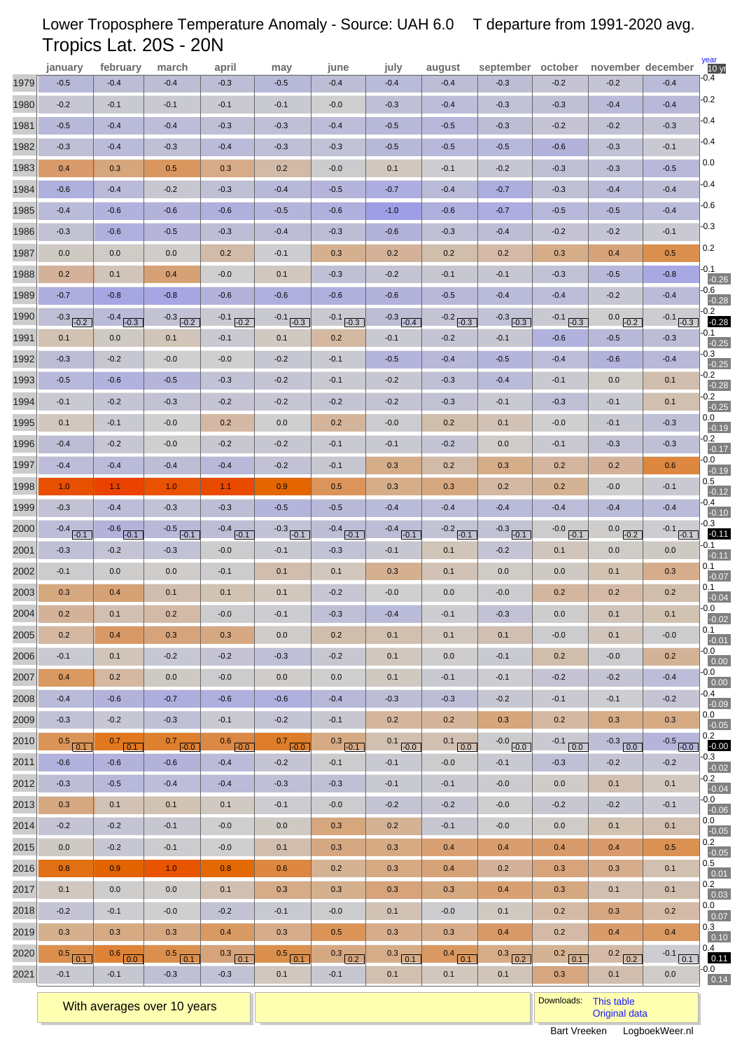# Lower Troposphere Temperature Anomaly - Source: UAH 6.0 T departure from 1991-2020 avg. Tropics Lat. 20S - 20N

|      | january                 | february                | march                   | april                   | may                     | june                    | july                    | august               | september october       |                      |                     | november december    | $\frac{year}{10}$  |
|------|-------------------------|-------------------------|-------------------------|-------------------------|-------------------------|-------------------------|-------------------------|----------------------|-------------------------|----------------------|---------------------|----------------------|--------------------|
| 1979 | $-0.5$                  | $-0.4$                  | $-0.4$                  | $-0.3$                  | $-0.5$                  | $-0.4$                  | $-0.4$                  | $-0.4$               | $-0.3$                  | $-0.2$               | $-0.2$              | $-0.4$               | -0.4               |
| 1980 | $-0.2$                  | $-0.1$                  | $-0.1$                  | $-0.1$                  | $-0.1$                  | $-0.0$                  | $-0.3$                  | $-0.4$               | $-0.3$                  | $-0.3$               | $-0.4$              | $-0.4$               | $-0.2$             |
| 1981 | $-0.5$                  | $-0.4$                  | $-0.4$                  | $-0.3$                  | $-0.3$                  | $-0.4$                  | $-0.5$                  | $-0.5$               | $-0.3$                  | $-0.2$               | $-0.2$              | $-0.3$               | $-0.4$             |
| 1982 | $-0.3$                  | $-0.4$                  | $-0.3$                  | $-0.4$                  | $-0.3$                  | $-0.3$                  | $-0.5$                  | $-0.5$               | $-0.5$                  | $-0.6$               | $-0.3$              | $-0.1$               | $-0.4$             |
| 1983 | 0.4                     | 0.3                     | 0.5                     | 0.3                     | 0.2                     | $-0.0$                  | 0.1                     | $-0.1$               | $-0.2$                  | $-0.3$               | $-0.3$              | $-0.5$               | 0.0                |
| 1984 | $-0.6$                  | $-0.4$                  | $-0.2$                  | $-0.3$                  | $-0.4$                  | $-0.5$                  | $-0.7$                  | $-0.4$               | $-0.7$                  | $-0.3$               | $-0.4$              | $-0.4$               | $-0.4$             |
| 1985 | $-0.4$                  | $-0.6$                  | $-0.6$                  | $-0.6$                  | $-0.5$                  | $-0.6$                  | $-1.0$                  | $-0.6$               | $-0.7$                  | $-0.5$               | $-0.5$              | $-0.4$               | $-0.6$             |
| 1986 | $-0.3$                  | $-0.6$                  | $-0.5$                  | $-0.3$                  | $-0.4$                  | $-0.3$                  | $-0.6$                  | $-0.3$               | $-0.4$                  | $-0.2$               | $-0.2$              | $-0.1$               | $-0.3$             |
| 1987 | 0.0                     | 0.0                     | 0.0                     | 0.2                     | $-0.1$                  | 0.3                     | 0.2                     | 0.2                  | 0.2                     | 0.3                  | 0.4                 | 0.5                  | 0.2                |
| 1988 | 0.2                     | 0.1                     | 0.4                     | $-0.0$                  | 0.1                     | $-0.3$                  | $-0.2$                  | $-0.1$               | $-0.1$                  | $-0.3$               | $-0.5$              | $-0.8$               | $-0.1$<br>$-0.26$  |
| 1989 | $-0.7$                  | $-0.8$                  | $-0.8$                  | $-0.6$                  | $-0.6$                  | $-0.6$                  | $-0.6$                  | $-0.5$               | $-0.4$                  | $-0.4$               | $-0.2$              | $-0.4$               | -0.6<br>$-0.28$    |
| 1990 | $-0.3$ $-0.2$           | $-0.4$ $-0.3$           | $-0.3$ $-0.2$           | $-0.1$ $-0.2$           | $-0.1$ $-0.3$           | $-0.1$ $-0.3$           | $-0.3$ $-0.4$           | $-0.2$ $-0.3$        | $-0.3$ $-0.3$           | $-0.1$<br>$-0.3$     | 0.0<br>$-0.2$       | $-0.1$ $-0.3$        | $-0.2$<br>$-0.28$  |
| 1991 | 0.1                     | 0.0                     | 0.1                     | $-0.1$                  | 0.1                     | 0.2                     | $-0.1$                  | $-0.2$               | $-0.1$                  | $-0.6$               | $-0.5$              | $-0.3$               | $-0.1$<br>$-0.25$  |
| 1992 | $-0.3$                  | $-0.2$                  | $-0.0$                  | $-0.0$                  | $-0.2$                  | $-0.1$                  | $-0.5$                  | $-0.4$               | $-0.5$                  | $-0.4$               | $-0.6$              | $-0.4$               | -0.3<br>$-0.25$    |
| 1993 | $-0.5$                  | $-0.6$                  | $-0.5$                  | $-0.3$                  | $-0.2$                  | $-0.1$                  | $-0.2$                  | $-0.3$               | $-0.4$                  | $-0.1$               | 0.0                 | 0.1                  | -0.2<br>$-0.28$    |
| 1994 | $-0.1$                  | $-0.2$                  | $-0.3$                  | $-0.2$                  | $-0.2$                  | $-0.2$                  | $-0.2$                  | $-0.3$               | $-0.1$                  | $-0.3$               | $-0.1$              | 0.1                  | $-0.2$<br>$-0.25$  |
| 1995 | 0.1                     | $-0.1$                  | $-0.0$                  | 0.2                     | 0.0                     | 0.2                     | $-0.0$                  | 0.2                  | 0.1                     | $-0.0$               | $-0.1$              | $-0.3$               | $0.0\,$            |
| 1996 | $-0.4$                  | $-0.2$                  | $-0.0$                  | $-0.2$                  | $-0.2$                  | $-0.1$                  | $-0.1$                  | $-0.2$               | 0.0                     | $-0.1$               | $-0.3$              | $-0.3$               | $-0.19$<br>-0.2    |
| 1997 | $-0.4$                  | $-0.4$                  | $-0.4$                  | $-0.4$                  | $-0.2$                  | $-0.1$                  | 0.3                     | 0.2                  | 0.3                     | 0.2                  | 0.2                 | 0.6                  | $-0.17$<br>-0.0    |
| 1998 | 1.0                     | 1.1                     | 1.0                     | 1.1                     | 0.9                     | 0.5                     | 0.3                     | 0.3                  | 0.2                     | 0.2                  | $-0.0$              | $-0.1$               | $-0.19$<br>$0.5\,$ |
| 1999 | $-0.3$                  | $-0.4$                  | $-0.3$                  | $-0.3$                  | $-0.5$                  | $-0.5$                  | $-0.4$                  | $-0.4$               | $-0.4$                  | $-0.4$               | $-0.4$              | $-0.4$               | $-0.12$<br>-0.4    |
| 2000 |                         |                         |                         |                         |                         |                         |                         |                      |                         |                      |                     |                      | $-0.10$<br>$-0.3$  |
| 2001 | $-0.4$ $-0.1$<br>$-0.3$ | $-0.6$ $-0.1$<br>$-0.2$ | $-0.5$ $-0.1$<br>$-0.3$ | $-0.4$ $-0.1$<br>$-0.0$ | $-0.3$ $-0.1$<br>$-0.1$ | $-0.4$ $-0.1$<br>$-0.3$ | $-0.4$ $-0.1$<br>$-0.1$ | $-0.2$ $-0.1$<br>0.1 | $-0.3$ $-0.1$<br>$-0.2$ | $-0.0$ $-0.1$<br>0.1 | $0.0$ $-0.2$<br>0.0 | $-0.1$ $-0.1$<br>0.0 | $-0.11$<br>-0.1    |
| 2002 | $-0.1$                  | 0.0                     | 0.0                     | $-0.1$                  | 0.1                     | 0.1                     | 0.3                     | 0.1                  | 0.0                     | 0.0                  | 0.1                 | 0.3                  | $-0.11$<br>0.1     |
| 2003 | 0.3                     | 0.4                     | 0.1                     | 0.1                     | 0.1                     | $-0.2$                  | $-0.0$                  | 0.0                  | $-0.0$                  | 0.2                  | 0.2                 | 0.2                  | $-0.07$<br>0.1     |
| 2004 | 0.2                     | 0.1                     | 0.2                     | $-0.0$                  | $-0.1$                  | $-0.3$                  | $-0.4$                  | $-0.1$               | $-0.3$                  | 0.0                  | 0.1                 | 0.1                  | $-0.04$<br>$-0.0$  |
| 2005 | 0.2                     | 0.4                     | 0.3                     | 0.3                     | 0.0                     | 0.2                     | 0.1                     | 0.1                  | 0.1                     | $-0.0$               | 0.1                 | $-0.0$               | $-0.02$<br>0.1     |
| 2006 | $-0.1$                  | 0.1                     | $-0.2$                  | $-0.2$                  | $-0.3$                  | $-0.2$                  | 0.1                     | 0.0                  | $-0.1$                  | 0.2                  | $-0.0$              | 0.2                  | $-0.01$<br>-0.0    |
| 2007 | 0.4                     | 0.2                     | 0.0                     | $-0.0$                  | 0.0                     | 0.0                     | 0.1                     | $-0.1$               | $-0.1$                  | $-0.2$               | $-0.2$              | $-0.4$               | 0.00<br>-0.0       |
| 2008 | $-0.4$                  | $-0.6$                  | $-0.7$                  | $-0.6$                  | $-0.6$                  | $-0.4$                  | $-0.3$                  | $-0.3$               | $-0.2$                  | $-0.1$               | $-0.1$              | $-0.2$               | 0.00<br>-0.4       |
| 2009 | $-0.3$                  | $-0.2$                  | $-0.3$                  | $-0.1$                  | $-0.2$                  | $-0.1$                  | 0.2                     | 0.2                  | 0.3                     | 0.2                  | 0.3                 | 0.3                  | $-0.09$<br>0.0     |
| 2010 | $0.5$ $0.1$             | $0.7$ 0.1               | $0.7$ $-0.0$            | $0.6$ $-0.0$            | $0.7$ $-0.0$            | $0.3$ $-0.1$            | $0.1$ $-0.0$            |                      | $-0.0$ $-0.0$           | $-0.1$ 0.0           | $-0.3$ 0.0          | $-0.5$ $-0.0$        | $-0.05$<br>0.2     |
| 2011 | $-0.6$                  | $-0.6$                  | $-0.6$                  | $-0.4$                  | $-0.2$                  | $-0.1$                  | $-0.1$                  | $0.1$ 0.0<br>$-0.0$  | $-0.1$                  | $-0.3$               | $-0.2$              | $-0.2$               | $-0.00$<br>$-0.3$  |
| 2012 | $-0.3$                  | $-0.5$                  | $-0.4$                  | $-0.4$                  | $-0.3$                  | $-0.3$                  | $-0.1$                  | $-0.1$               | $-0.0$                  | 0.0                  | 0.1                 | 0.1                  | $-0.02$<br>$-0.2$  |
| 2013 | 0.3                     | 0.1                     | 0.1                     | 0.1                     | $-0.1$                  | $-0.0$                  | $-0.2$                  | $-0.2$               | $-0.0$                  | $-0.2$               | $-0.2$              | $-0.1$               | $-0.04$<br>$-0.0$  |
| 2014 | $-0.2$                  | $-0.2$                  | $-0.1$                  | $-0.0$                  | 0.0                     | 0.3                     | 0.2                     | $-0.1$               | $-0.0$                  | 0.0                  | 0.1                 | 0.1                  | $-0.06$<br>0.0     |
| 2015 | 0.0                     | $-0.2$                  | $-0.1$                  | $-0.0$                  | 0.1                     | 0.3                     | 0.3                     | 0.4                  | 0.4                     | 0.4                  | 0.4                 | 0.5                  | $-0.05$<br>0.2     |
| 2016 | 0.8                     | 0.9                     | 1.0 <sub>1</sub>        | 0.8                     | 0.6                     | 0.2                     | 0.3                     | 0.4                  | 0.2                     | 0.3                  | 0.3                 | 0.1                  | $-0.05$<br>0.5     |
| 2017 | 0.1                     | 0.0                     | 0.0                     | 0.1                     | 0.3                     | 0.3                     | 0.3                     | 0.3                  | 0.4                     | 0.3                  | 0.1                 | 0.1                  | 0.01<br>0.2        |
|      |                         |                         |                         |                         |                         |                         |                         |                      |                         |                      |                     |                      | 0.03<br>0.0        |
| 2018 | $-0.2$                  | $-0.1$                  | $-0.0$                  | $-0.2$                  | $-0.1$                  | $-0.0$                  | 0.1                     | $-0.0$               | 0.1                     | 0.2                  | 0.3                 | 0.2                  | 0.07<br>0.3        |
| 2019 | 0.3                     | 0.3                     | 0.3                     | 0.4                     | 0.3                     | 0.5                     | 0.3                     | 0.3                  | 0.4                     | 0.2                  | 0.4                 | 0.4                  | 0.10<br>0.4        |
| 2020 | $0.5$ 0.1               | $0.6$ $0.0$             | $0.5$ 0.1               | $0.3$ $\boxed{0.1}$     | $0.5$ $\boxed{0.1}$     | $0.3$ 0.2               | $0.3$ 0.1               | $0.4$ $0.1$          | $0.3$ $0.2$             | $0.2$ $\boxed{0.1}$  | $0.2$ 0.2           | $-0.1$ $\boxed{0.1}$ | 0.11<br>-0.0       |
| 2021 | $-0.1$                  | $-0.1$                  | $-0.3$                  | $-0.3$                  | 0.1                     | $-0.1$                  | 0.1                     | 0.1                  | 0.1                     | 0.3                  | 0.1                 | 0.0                  | 0.14               |

With averages over 10 years **Downloads:** [This table](http://www.logboekweer.nl/International/TRPCS.CSV)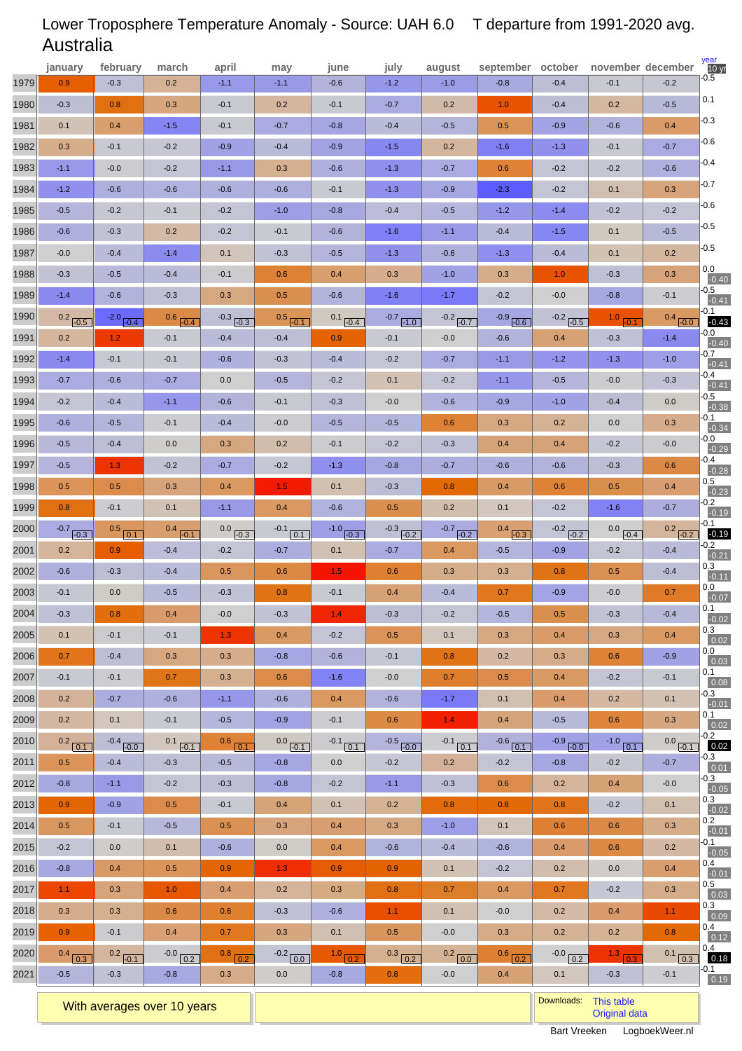#### 1979 1980 1981 1982 1983 1984 1985 1986 1987 1988 1989 1990 1991 1992 1993 1994 1995 1996 1997 1998 1999 2000 2001 2002 2003 2004 2005 2006 2007 2008 2009 2010 2011 2012 2013 2014 2015 2016 2017 2018 2019 2020 2021  $10 yr$ january february march april may june july august september october november december <mark>10 $\mathbf{y}_i$ </mark> 0.9 -0.3 0.1 0.3 -1.1 -1.2 -0.5 -0.6 -0.0 -0.3 -1.4  $0.2$   $-0.5$  0.2 -1.4 -0.7 -0.2 -0.6 -0.5 -0.5 0.5 0.8  $-0.7$   $-0.3$  0.2 -0.6 -0.1 -0.3 0.1 0.7 -0.1 0.2 0.2  $0.2$  0.1 0.5 -0.8 0.9 0.5  $-0.2$  -0.8 1.1 0.3 0.9  $0.4$   $\boxed{0.3}$  -0.5 **february** -0.3 0.8 0.4 -0.1 -0.0 -0.6 -0.2 -0.3 -0.4 -0.5 -0.6  $-2.0$   $-0.4$  1.2 -0.1 -0.6 -0.4 -0.5 -0.4 1.3 0.5 -0.1  $0.5$  0.1 0.9 -0.3 0.0 0.8 -0.1 -0.4 -0.1 -0.7  $0.1$  $-0.4$   $-0.0$  -0.4 -1.1 -0.9 -0.1  $0.0$  0.4 0.3 0.3 -0.1  $0.2$   $-0.1$  -0.3 **march** 0.2 0.3 -1.5 -0.2 -0.2 -0.6 -0.1 0.2 -1.4 -0.4 -0.3  $0.6$   $-0.4$  -0.1 -0.1  $-0.7$  -1.1 -0.1 0.0 -0.2 0.3 0.1  $0.4$   $-0.1$  -0.4 -0.4 -0.5 0.4 -0.1 0.3 0.7 -0.6 -0.1  $0.1$   $-0.1$  -0.3 -0.2 0.5 -0.5 0.1 0.5 1.0 0.6 0.4  $-0.0$  0.2 -0.8 **april** -1.1 -0.1 -0.1 -0.9 -1.1 -0.6 -0.2 -0.2 0.1 -0.1 0.3  $-0.3$   $-0.3$  -0.4 -0.6  $0.0$  -0.6 -0.4 0.3 -0.7 0.4 -1.1  $0.0$   $-0.3$  -0.2 0.5 -0.3 -0.0 1.3 0.3 0.3 -1.1 -0.5  $0.6$  0.1 -0.5 -0.3 -0.1 0.5 -0.6 0.9 0.4 0.6 0.7  $\frac{0.8}{0.2}$  0.3 **may** -1.1 0.2 -0.7 -0.4 0.3 -0.6 -1.0 -0.1 -0.3 0.6 0.5  $0.5$   $-0.1$  -0.4 -0.3  $-0.5$  -0.1 -0.0  $0.2$  -0.2 1.5 0.4  $-0.1$  0.1 -0.7 0.6 0.8 -0.3 0.4 -0.8 0.6 -0.6 -0.9  $0.0$   $-0.1$  -0.8 -0.8 0.4 0.3 0.0 1.3 0.2 -0.3 0.3  $-0.2$  0.0 0.0 **june** -0.6 -0.1 -0.8 -0.9 -0.6  $-0.1$  -0.8 -0.6 -0.5 0.4 -0.6  $0.1$   $-0.4$  0.9 -0.4  $-0.2$  -0.3 -0.5 -0.1 -1.3 0.1 -0.6  $-1.0$   $-0.3$  0.1 1.5 -0.1 1.4 -0.2 -0.6 -1.6 0.4 -0.1  $-0.1$  0.1 0.0  $-0.2$  0.1 0.4 0.4 0.9 0.3 -0.6 0.1  $1.0<sub>r</sub>$  -0.8 0.2 **july** -1.2 -0.7 -0.4 -1.5 -1.3 -1.3 -0.4 -1.6 -1.3 0.3 -1.6  $-0.7$   $-1.0$  -0.1 -0.2  $0.1$  -0.0 -0.5 -0.2 -0.8 -0.3 0.5  $-0.3$   $-0.2$  -0.7 0.6 0.4 -0.3 0.5 -0.1 -0.0 -0.6 0.6  $-0.5$   $-0.0$  -0.2 -1.1 0.2 0.3 -0.6 0.9 0.8 1.1 0.5  $0.3$   $\boxed{0.2}$  0.8 **august** -1.0 0.2 -0.5 0.2 -0.7 -0.9 -0.5 -1.1 -0.6 -1.0 -1.7  $-0.2$   $-0.7$  -0.0 -0.7  $-0.2$  -0.6 0.6 -0.3 -0.7 0.8 0.2  $-0.7$   $-0.2$  0.4 0.3 -0.4 -0.2 0.1 0.8 0.7 -1.7 1.4  $-0.1$  0.1 0.2 -0.3 0.8 -1.0 -0.4 0.1 0.7  $0.1$  -0.0  $0.2$  0.0 -0.0 **september** -0.8 1.0 0.5 -1.6 0.6 -2.3 -1.2 -0.4 -1.3 0.3 -0.2  $-0.9$   $-0.6$  -0.6 -1.1 -1.1 -0.9 0.3 0.4 -0.6 0.4 0.1  $0.4$   $-0.3$  -0.5 0.3 0.7 -0.5 0.3 0.2 0.5 0.1 0.4  $-0.6$  0.1 -0.2 0.6 0.8 0.1 -0.6 -0.2 0.4 -0.0 0.3  $0.6$  0.2 0.4 **october** -0.4 -0.4 -0.9 -1.3 -0.2 -0.2 -1.4 -1.5 -0.4 1.0 -0.0  $-0.2$   $-0.5$  0.4 -1.2  $-0.5$  -1.0 0.2 0.4 -0.6 0.6 -0.2  $-0.2$   $-0.2$  -0.9 0.8 -0.9 0.5 0.4 0.3 0.4 0.4 -0.5  $-0.9$   $-0.0$  -0.8 0.2 0.8 0.6 0.4 0.2 0.7 0.2 0.2  $-0.0$   $\boxed{0.2}$  0.1 -0.1 0.2 -0.6 -0.1 -0.2 0.1 -0.2 0.1 0.1 -0.3 -0.8  $1.0$   $-0.1$  -0.3 -1.3  $-0.0$  -0.4 0.0  $-0.2$  -0.3 0.5 -1.6  $0.0$   $-0.4$  -0.2 0.5 -0.0 -0.3 0.3 0.6 -0.2 0.2 0.6  $-1.0$  0.1 -0.2 0.4 -0.2 0.6 0.6 0.0 -0.2 0.4 0.2  $\frac{1.3}{0.3}$  -0.3 -0.2 -0.5 0.4 -0.7 -0.6 0.3 -0.2 -0.5 0.2 0.3 -0.1  $0.4$   $-0.0$  -1.4 -1.0  $-0.3$  0.0 0.3 -0.0 0.6 0.4 -0.7  $0.2$   $-0.2$  -0.4 -0.4 0.7 -0.4 0.4 -0.9 -0.1 0.1 0.3  $0.0$   $-0.1$  -0.7 -0.0 0.1 0.3 0.2 0.4 0.3 1.1 0.8  $0.1$  0.3 -0.1  $-0.5$  0.1 -0.3 -0.6 -0.4 -0.7 -0.6 -0.5 -0.5  $0.0$ -0.5  $0.1$ -0.0  $-0.7$  $-0.4$ -0.5  $0.1$ -0.0 -0.4 0.5 -0.2 -0.1  $-0.2$  0.3 0.0  $0.1$  0.3  $0.0$  $0.1$ -0.3  $0.1$  $-0.2$ -0.3 -0.3 0.3 0.2 -0.1 0.4 0.5 0.3 0.4  $\overline{0.4}$  $0.1$ -0.40 -0.41 -0.43 -0.40  $-0.41$ -0.41 -0.38 -0.34 -0.29 -0.28 -0.23  $-0.19$  $-0.19$ -0.21 -0.11  $-0.07$ -0.02 0.02 0.03 0.08 -0.01 0.02 0.02 0.01  $-0.05$ -0.02  $-0.01$  $-0.05$ -0.01 0.03 0.09 0.12 0.18  $\boxed{0.19}$

#### Lower Troposphere Temperature Anomaly - Source: UAH 6.0 Australia T departure from 1991-2020 avg.

With averages over 10 years **Downloads:** [This table](http://www.logboekweer.nl/International/AUSTR.CSV) with averages over 10 years **Downloads:** This table with a straight and the straight of the straight and the straight and the straight and the straight and the straight a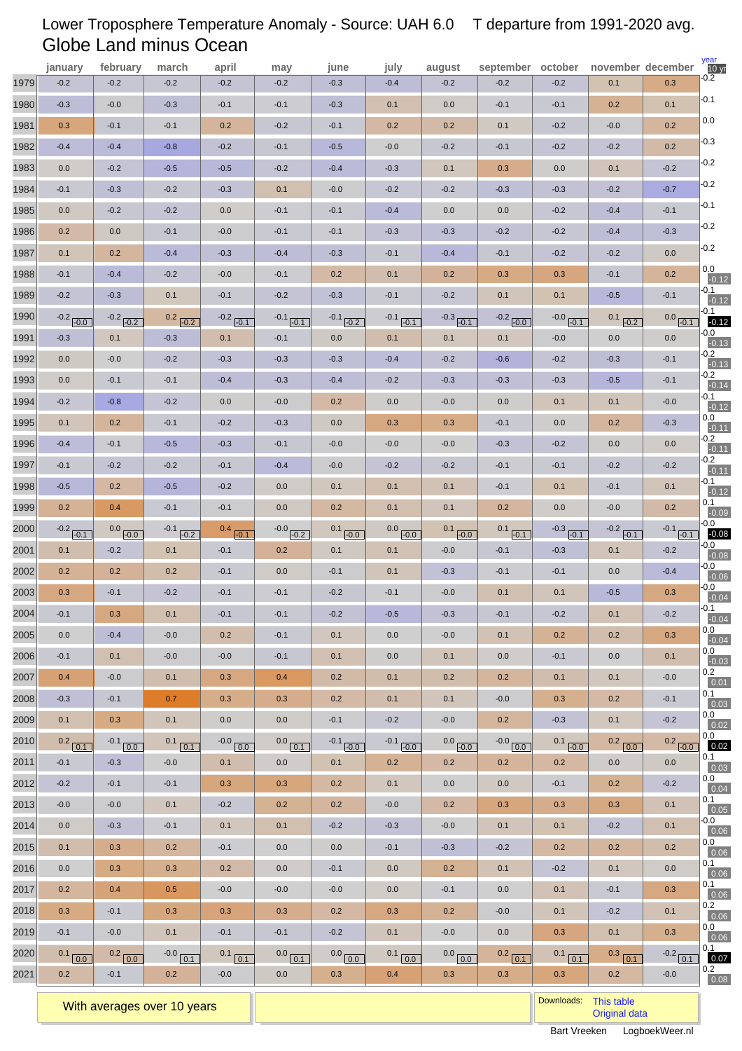# Lower Troposphere Temperature Anomaly - Source: UAH 6.0 T departure from 1991-2020 avg. Globe Land minus Ocean

|      | january              | february               | march                | april                  | may                  | june                | july                | august                            | september october      |                         | november december    |                         | year<br>10 <sub>yr</sub> |
|------|----------------------|------------------------|----------------------|------------------------|----------------------|---------------------|---------------------|-----------------------------------|------------------------|-------------------------|----------------------|-------------------------|--------------------------|
| 1979 | $-0.2$               | $-0.2$                 | $-0.2$               | $-0.2$                 | $-0.2$               | $-0.3$              | $-0.4$              | $-0.2$                            | $-0.2$                 | $-0.2$                  | 0.1                  | 0.3                     | $-0.2$                   |
| 1980 | $-0.3$               | $-0.0$                 | $-0.3$               | $-0.1$                 | $-0.1$               | $-0.3$              | 0.1                 | 0.0                               | $-0.1$                 | $-0.1$                  | 0.2                  | 0.1                     | $-0.1$                   |
| 1981 | 0.3                  | $-0.1$                 | $-0.1$               | 0.2                    | $-0.2$               | $-0.1$              | 0.2                 | 0.2                               | 0.1                    | $-0.2$                  | $-0.0$               | 0.2                     | 0.0                      |
| 1982 | $-0.4$               | $-0.4$                 | $-0.8$               | $-0.2$                 | $-0.1$               | $-0.5$              | $-0.0$              | $-0.2$                            | $-0.1$                 | $-0.2$                  | $-0.2$               | 0.2                     | $-0.3$                   |
| 1983 | 0.0                  | $-0.2$                 | $-0.5$               | $-0.5$                 | $-0.2$               | $-0.4$              | $-0.3$              | 0.1                               | 0.3                    | 0.0                     | 0.1                  | $-0.2$                  | $-0.2$                   |
| 1984 | $-0.1$               | $-0.3$                 | $-0.2$               | $-0.3$                 | 0.1                  | $-0.0$              | $-0.2$              | $-0.2$                            | $-0.3$                 | $-0.3$                  | $-0.2$               | $-0.7$                  | $-0.2$                   |
| 1985 | 0.0                  | $-0.2$                 | $-0.2$               | 0.0                    | $-0.1$               | $-0.1$              | $-0.4$              | 0.0                               | 0.0                    | $-0.2$                  | $-0.4$               | $-0.1$                  | $-0.1$                   |
| 1986 | 0.2                  | 0.0                    | $-0.1$               | $-0.0$                 | $-0.1$               | $-0.1$              | $-0.3$              | $-0.3$                            | $-0.2$                 | $-0.2$                  | $-0.4$               | $-0.3$                  | $-0.2$                   |
| 1987 | 0.1                  | 0.2                    | $-0.4$               | $-0.3$                 | $-0.4$               | $-0.3$              | $-0.1$              | $-0.4$                            | $-0.1$                 | $-0.2$                  | $-0.2$               | 0.0                     | $-0.2$                   |
| 1988 | $-0.1$               | $-0.4$                 | $-0.2$               | $-0.0$                 | $-0.1$               | 0.2                 | 0.1                 | 0.2                               | 0.3                    | 0.3                     | $-0.1$               | 0.2                     | 0.0<br>$-0.12$           |
| 1989 | $-0.2$               | $-0.3$                 | 0.1                  | $-0.1$                 | $-0.2$               | $-0.3$              | $-0.1$              | $-0.2$                            | 0.1                    | 0.1                     | $-0.5$               | $-0.1$                  | -0.1<br>$-0.12$          |
| 1990 | $-0.2$ $-0.0$        | $-0.2$ $-0.2$          | $0.2$ $-0.2$         | $-0.2$ $-0.1$          | $-0.1$ $-0.1$        | $-0.1$ $-0.2$       | $-0.1$ $-0.1$       | $-0.3$ $-0.1$                     | $-0.2$ $-0.0$          | $-0.0$ $-0.1$           | 0.1<br>$-0.2$        | $0.0$ $-0.1$            | -0.1<br>$-0.12$          |
| 1991 | $-0.3$               | 0.1                    | $-0.3$               | 0.1                    | $-0.1$               | 0.0                 | 0.1                 | 0.1                               | 0.1                    | $-0.0$                  | 0.0                  | 0.0                     | -0.0<br>$-0.13$          |
| 1992 | 0.0                  | $-0.0$                 | $-0.2$               | $-0.3$                 | $-0.3$               | $-0.3$              | $-0.4$              | $-0.2$                            | $-0.6$                 | $-0.2$                  | $-0.3$               | $-0.1$                  | -0.2<br>$-0.13$          |
| 1993 | 0.0                  | $-0.1$                 | $-0.1$               | $-0.4$                 | $-0.3$               | $-0.4$              | $-0.2$              | $-0.3$                            | $-0.3$                 | $-0.3$                  | $-0.5$               | $-0.1$                  | $-0.2$<br>$-0.14$        |
| 1994 | $-0.2$               | $-0.8$                 | $-0.2$               | 0.0                    | $-0.0$               | 0.2                 | 0.0                 | $-0.0$                            | 0.0                    | 0.1                     | 0.1                  | $-0.0$                  | -0.1<br>$-0.12$          |
| 1995 | 0.1                  | 0.2                    | $-0.1$               | $-0.2$                 | $-0.3$               | 0.0                 | 0.3                 | 0.3                               | $-0.1$                 | 0.0                     | 0.2                  | $-0.3$                  | $0.0\,$                  |
| 1996 | $-0.4$               | $-0.1$                 | $-0.5$               | $-0.3$                 | $-0.1$               | $-0.0$              | $-0.0$              | $-0.0$                            | $-0.3$                 | $-0.2$                  | 0.0                  | 0.0                     | $-0.11$<br>-0.2          |
| 1997 | $-0.1$               | $-0.2$                 | $-0.2$               | $-0.1$                 | $-0.4$               | $-0.0$              | $-0.2$              | $-0.2$                            | $-0.1$                 | $-0.1$                  | $-0.2$               | $-0.2$                  | $-0.11$<br>$-0.2$        |
| 1998 | $-0.5$               | 0.2                    | $-0.5$               | $-0.2$                 | 0.0                  | 0.1                 | 0.1                 | 0.1                               | $-0.1$                 | 0.1                     | $-0.1$               | 0.1                     | $-0.11$<br>-0.1          |
| 1999 | 0.2                  | 0.4                    | $-0.1$               | $-0.1$                 | 0.0                  | 0.2                 | 0.1                 | 0.1                               | 0.2                    | 0.0                     | $-0.0$               | 0.2                     | $-0.12$<br>0.1           |
| 2000 |                      |                        |                      |                        |                      |                     |                     |                                   |                        |                         |                      |                         | $-0.09$<br>-0.0          |
| 2001 | $-0.2$ $-0.1$<br>0.1 | $0.0$ $-0.0$<br>$-0.2$ | $-0.1$ $-0.2$<br>0.1 | $0.4$ $-0.1$<br>$-0.1$ | $-0.0$ $-0.2$<br>0.2 | $0.1$ $-0.0$<br>0.1 | $0.0$ $-0.0$<br>0.1 | $0.1$ $-0.0$<br>$-0.0$            | $0.1$ $-0.1$<br>$-0.1$ | $-0.3$ $-0.1$<br>$-0.3$ | $-0.2$ $-0.1$<br>0.1 | $-0.1$ $-0.1$<br>$-0.2$ | $-0.08$<br>-0.0          |
| 2002 | 0.2                  | 0.2                    | 0.2                  | $-0.1$                 | 0.0                  | $-0.1$              | 0.1                 | $-0.3$                            | $-0.1$                 | $-0.1$                  | 0.0                  | $-0.4$                  | $-0.08$<br>-0.0          |
| 2003 | 0.3                  | $-0.1$                 | $-0.2$               | $-0.1$                 | $-0.1$               | $-0.2$              | $-0.1$              | $-0.0$                            | 0.1                    | 0.1                     | $-0.5$               | 0.3                     | $-0.06$<br>-0.0          |
| 2004 | $-0.1$               | 0.3                    | 0.1                  | $-0.1$                 | $-0.1$               | $-0.2$              | $-0.5$              | $-0.3$                            | $-0.1$                 | $-0.2$                  | 0.1                  | $-0.2$                  | $-0.04$<br>$-0.1$        |
| 2005 | 0.0                  | $-0.4$                 | $-0.0$               | 0.2                    | $-0.1$               | 0.1                 | 0.0                 | $-0.0$                            | 0.1                    | 0.2                     | 0.2                  | 0.3                     | $-0.04$<br>0.0           |
| 2006 | $-0.1$               | 0.1                    | $-0.0$               | $-0.0$                 | $-0.1$               | 0.1                 | 0.0                 | 0.1                               | 0.0                    | $-0.1$                  | 0.0                  | 0.1                     | $-0.04$<br>0.0           |
| 2007 | 0.4                  | $-0.0$                 | 0.1                  | 0.3                    | 0.4                  | 0.2                 | 0.1                 | 0.2                               | 0.2                    | 0.1                     | 0.1                  | $-0.0$                  | $-0.03$<br>0.2           |
| 2008 | $-0.3$               | $-0.1$                 | 0.7                  | 0.3                    | 0.3                  | 0.2                 | 0.1                 | 0.1                               | $-0.0$                 | 0.3                     | 0.2                  | $-0.1$                  | 0.01<br>0.1              |
| 2009 | 0.1                  | 0.3                    | 0.1                  | 0.0                    | 0.0                  | $-0.1$              | $-0.2$              | $-0.0$                            | 0.2                    | $-0.3$                  | 0.1                  | $-0.2$                  | 0.03<br>0.0              |
| 2010 | $0.2$ $\boxed{0.1}$  | $-0.1$ 0.0             | $0.1$ $0.1$          | $-0.0$ $0.0$           | $0.0$ $\boxed{0.1}$  | $-0.1$ $-0.0$       | $-0.1$ $-0.0$       |                                   | $-0.0$ $0.0$           |                         | $0.2$ 0.0            | $0.2$ $-0.0$            | 0.02<br>0.0              |
| 2011 | $-0.1$               | $-0.3$                 | $-0.0$               | 0.1                    | 0.0                  | 0.1                 | 0.2                 | $0.0$ $\underline{(-0.0)}$<br>0.2 | 0.2                    | $0.1$ $-0.0$<br>0.2     | 0.0                  | 0.0                     | 0.02<br>0.1              |
| 2012 | $-0.2$               | $-0.1$                 | $-0.1$               | 0.3                    | 0.3                  | 0.2                 | 0.1                 | 0.0                               | 0.0                    | $-0.1$                  | 0.2                  | $-0.2$                  | 0.03<br>0.0              |
| 2013 | $-0.0$               | $-0.0$                 | 0.1                  | $-0.2$                 | 0.2                  | 0.2                 | $-0.0$              | 0.2                               | 0.3                    | 0.3                     | 0.3                  | 0.1                     | 0.04<br>0.1              |
| 2014 | 0.0                  | $-0.3$                 | $-0.1$               | 0.1                    | 0.1                  | $-0.2$              | $-0.3$              | $-0.0$                            | 0.1                    | 0.1                     | $-0.2$               | 0.1                     | 0.05<br>-0.0             |
| 2015 | 0.1                  | 0.3                    | 0.2                  | $-0.1$                 | 0.0                  | 0.0                 | $-0.1$              | $-0.3$                            | $-0.2$                 | 0.2                     | 0.2                  | 0.2                     | 0.06<br>0.0              |
| 2016 | 0.0                  | 0.3                    | 0.3                  | $0.2\,$                | 0.0                  | $-0.1$              | 0.0                 | 0.2                               | 0.1                    | $-0.2$                  | 0.1                  | 0.0                     | 0.06<br>0.1              |
| 2017 | 0.2                  | 0.4                    | 0.5                  | $-0.0$                 | $-0.0$               | $-0.0$              | 0.0                 | $-0.1$                            | 0.0                    | 0.1                     | $-0.1$               | 0.3                     | 0.06<br>0.1              |
| 2018 |                      |                        |                      |                        |                      |                     |                     |                                   |                        |                         |                      |                         | 0.06<br>0.2              |
|      | 0.3                  | $-0.1$                 | 0.3                  | 0.3                    | 0.3                  | 0.2                 | 0.3                 | 0.2                               | $-0.0$                 | 0.1                     | $-0.2$               | 0.1                     | 0.06<br>0.0              |
| 2019 | $-0.1$               | $-0.0$                 | 0.1                  | $-0.1$                 | $-0.1$               | $-0.2$              | 0.1                 | $-0.0$                            | 0.0                    | 0.3                     | 0.1                  | 0.3                     | 0.06<br>0.1              |
| 2020 | $0.1$ 0.0            | $0.2$ 0.0              | $-0.0$ $\boxed{0.1}$ | $0.1$ $\boxed{0.1}$    | $0.0$ $\boxed{0.1}$  | $0.0\sqrt{0.0}$     | $0.1$ 0.0           | $0.0$ $0.0$                       | $0.2$ 0.1              | $0.1$ 0.1               | $0.3$ $0.1$          | $-0.2$<br>0.1           | 0.07                     |
| 2021 | 0.2                  | $-0.1$                 | 0.2                  | $-0.0$                 | 0.0                  | 0.3                 | 0.4                 | 0.3                               | 0.3                    | 0.3                     | 0.2                  | $-0.0$                  | $\frac{0.2}{0.08}$       |

With averages over 10 years **Downloads:** [This table](http://www.logboekweer.nl/International/LMINO.CSV) with averages over 10 years **Downloads:** This table with averages over 10 years **Downloads:** This table with averages over 10 years **Downloads:** Original downloads: Criti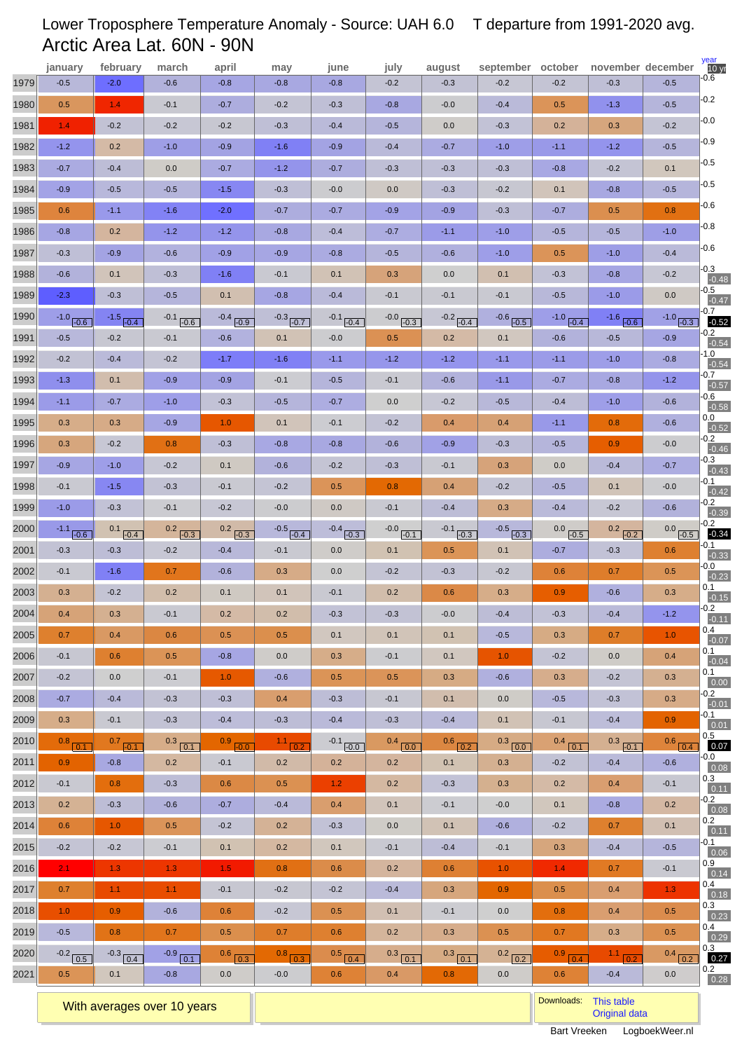# Lower Troposphere Temperature Anomaly - Source: UAH 6.0 T departure from 1991-2020 avg. Arctic Area Lat. 60N - 90N

|      | january           | february             | march            | april         | may           | june             | july             | august             | september october  |               | november december |                              | year<br>10 <sub>yr</sub> |
|------|-------------------|----------------------|------------------|---------------|---------------|------------------|------------------|--------------------|--------------------|---------------|-------------------|------------------------------|--------------------------|
| 1979 | $-0.5$            | $-2.0$               | $-0.6$           | $-0.8$        | $-0.8$        | $-0.8$           | $-0.2$           | $-0.3$             | $-0.2$             | $-0.2$        | $-0.3$            | $-0.5$                       | -0.6                     |
| 1980 | 0.5               | 1.4                  | $-0.1$           | $-0.7$        | $-0.2$        | $-0.3$           | $-0.8$           | $-0.0$             | $-0.4$             | 0.5           | $-1.3$            | $-0.5$                       | $-0.2$                   |
| 1981 | 1.4               | $-0.2$               | $-0.2$           | $-0.2$        | $-0.3$        | $-0.4$           | $-0.5$           | 0.0                | $-0.3$             | 0.2           | 0.3               | $-0.2$                       | $-0.0$                   |
| 1982 | $-1.2$            | 0.2                  | $-1.0$           | $-0.9$        | $-1.6$        | $-0.9$           | $-0.4$           | $-0.7$             | $-1.0$             | $-1.1$        | $-1.2$            | $-0.5$                       | $-0.9$                   |
| 1983 | $-0.7$            | $-0.4$               | 0.0              | $-0.7$        | $-1.2$        | $-0.7$           | $-0.3$           | $-0.3$             | $-0.3$             | $-0.8$        | $-0.2$            | 0.1                          | $-0.5$                   |
| 1984 | $-0.9$            | $-0.5$               | $-0.5$           | $-1.5$        | $-0.3$        | $-0.0$           | 0.0              | $-0.3$             | $-0.2$             | 0.1           | $-0.8$            | $-0.5$                       | $-0.5$                   |
| 1985 | 0.6               | $-1.1$               | $-1.6$           | $-2.0$        | $-0.7$        | $-0.7$           | $-0.9$           | $-0.9$             | $-0.3$             | $-0.7$        | 0.5               | 0.8                          | $-0.6$                   |
| 1986 | $-0.8$            | 0.2                  | $-1.2$           | $-1.2$        | $-0.8$        | $-0.4$           | $-0.7$           | $-1.1$             | $-1.0$             | $-0.5$        | $-0.5$            | $-1.0$                       | $-0.8$                   |
| 1987 | $-0.3$            | $-0.9$               | $-0.6$           | $-0.9$        | $-0.9$        | $-0.8$           | $-0.5$           | $-0.6$             | $-1.0$             | 0.5           | $-1.0$            | $-0.4$                       | $-0.6$                   |
| 1988 | $-0.6$            | 0.1                  | $-0.3$           | $-1.6$        | $-0.1$        | 0.1              | 0.3              | 0.0                | 0.1                | $-0.3$        | $-0.8$            | $-0.2$                       | $-0.3$<br>$-0.48$        |
| 1989 | $-2.3$            | $-0.3$               | $-0.5$           | 0.1           | $-0.8$        | $-0.4$           | $-0.1$           | $-0.1$             | $-0.1$             | $-0.5$        | $-1.0$            | 0.0                          | $-0.5$<br>$-0.47$        |
| 1990 | $-1.0$ $-0.6$     | $-1.5$ $-0.4$        | $-0.1$ $-0.6$    | $-0.4$ $-0.9$ | $-0.3$ $-0.7$ | $-0.1$ $-0.4$    | $-0.0$ $-0.3$    | $-0.2$ $-0.4$      | $-0.6$ $-0.5$      | $-1.0$ $-0.4$ | $-1.6$ $-0.6$     | $-1.0,$<br>$\overline{-0.3}$ | -0.7<br>$-0.52$          |
| 1991 | $-0.5$            | $-0.2$               | $-0.1$           | $-0.6$        | 0.1           | $-0.0$           | 0.5              | 0.2                | 0.1                | $-0.6$        | $-0.5$            | $-0.9$                       | $-0.2$<br>$-0.54$        |
| 1992 | $-0.2$            | $-0.4$               | $-0.2$           | $-1.7$        | $-1.6$        | $-1.1$           | $-1.2$           | $-1.2$             | $-1.1$             | $-1.1$        | $-1.0$            | $-0.8$                       | -1.0<br>$-0.54$          |
| 1993 | $-1.3$            | 0.1                  | $-0.9$           | $-0.9$        | $-0.1$        | $-0.5$           | $-0.1$           | $-0.6$             | $-1.1$             | $-0.7$        | $-0.8$            | $-1.2$                       | $-0.7$<br>$-0.57$        |
| 1994 | $-1.1$            | $-0.7$               | $-1.0$           | $-0.3$        | $-0.5$        | $-0.7$           | 0.0              | $-0.2$             | $-0.5$             | $-0.4$        | $-1.0$            | $-0.6$                       | $-0.6$<br>$-0.58$        |
| 1995 | 0.3               | 0.3                  | $-0.9$           | 1.0           | 0.1           | $-0.1$           | $-0.2$           | 0.4                | 0.4                | $-1.1$        | 0.8               | $-0.6$                       | $0.0\,$<br>$-0.52$       |
| 1996 | 0.3               | $-0.2$               | 0.8              | $-0.3$        | $-0.8$        | $-0.8$           | $-0.6$           | $-0.9$             | $-0.3$             | $-0.5$        | 0.9               | $-0.0$                       | $-0.2$<br>$-0.46$        |
| 1997 | $-0.9$            | $-1.0$               | $-0.2$           | 0.1           | $-0.6$        | $-0.2$           | $-0.3$           | $-0.1$             | 0.3                | 0.0           | $-0.4$            | $-0.7$                       | $-0.3$<br>$-0.43$        |
| 1998 | $-0.1$            | $-1.5$               | $-0.3$           | $-0.1$        | $-0.2$        | 0.5              | 0.8              | 0.4                | $-0.2$             | $-0.5$        | 0.1               | $-0.0$                       | -0.1<br>$-0.42$          |
| 1999 | $-1.0$            | $-0.3$               | $-0.1$           | $-0.2$        | $-0.0$        | 0.0              | $-0.1$           | $-0.4$             | 0.3                | $-0.4$        | $-0.2$            | $-0.6$                       | $-0.2$<br>$-0.39$        |
| 2000 | $-1.1$ $-0.6$     | $0.1$ $-0.4$         | $0.2$ $-0.3$     | $0.2$ $-0.3$  | $-0.5$ $-0.4$ | $-0.4$ $-0.3$    | $-0.0$ $-0.1$    | $-0.1$ $-0.3$      | $-0.5$ $-0.3$      | $0.0$ $-0.5$  | $0.2$ $-0.2$      | $0.0$ $-0.5$                 | $-0.2$<br>$-0.34$        |
| 2001 | $-0.3$            | $-0.3$               | $-0.2$           | $-0.4$        | $-0.1$        | 0.0              | 0.1              | 0.5                | 0.1                | $-0.7$        | $-0.3$            | 0.6                          | -0.1<br>$-0.33$          |
| 2002 | $-0.1$            | $-1.6$               | 0.7              | $-0.6$        | 0.3           | 0.0              | $-0.2$           | $-0.3$             | $-0.2$             | 0.6           | 0.7               | 0.5                          | -0.0<br>$-0.23$          |
| 2003 | 0.3               | $-0.2$               | 0.2              | 0.1           | 0.1           | $-0.1$           | 0.2              | 0.6                | 0.3                | 0.9           | $-0.6$            | 0.3                          | 0.1<br>$-0.15$           |
| 2004 | 0.4               | 0.3                  | $-0.1$           | 0.2           | 0.2           | $-0.3$           | $-0.3$           | $-0.0$             | $-0.4$             | $-0.3$        | $-0.4$            | $-1.2$                       | $-0.2$<br>$-0.11$        |
| 2005 | 0.7               | 0.4                  | 0.6              | 0.5           | 0.5           | 0.1              | 0.1              | 0.1                | $-0.5$             | 0.3           | 0.7               | 1.0                          | 0.4<br>$-0.07$           |
| 2006 | $-0.1$            | 0.6                  | 0.5              | $-0.8$        | 0.0           | 0.3              | $-0.1$           | 0.1                | 1.0                | $-0.2$        | 0.0               | 0.4                          | 0.1<br>$-0.04$           |
| 2007 | $-0.2$            | 0.0                  | $-0.1$           | 1.0           | $-0.6$        | 0.5              | 0.5              | 0.3                | $-0.6$             | 0.3           | $-0.2$            | 0.3                          | 0.1<br>0.00              |
| 2008 | $-0.7$            | $-0.4$               | $-0.3$           | $-0.3$        | 0.4           | $-0.3$           | $-0.1$           | 0.1                | 0.0                | $-0.5$        | $-0.3$            | 0.3                          | $-0.2$<br>$-0.01$        |
| 2009 | 0.3               | $-0.1$               | $-0.3$           | $-0.4$        | $-0.3$        | $-0.4$           | $-0.3$           | $-0.4$             | 0.1                | $-0.1$        | $-0.4$            | 0.9                          | -0.1<br>$\boxed{0.01}$   |
| 2010 | $0.8$ $0.1$       | $0.7$ $-0.1$         | $0.3$ 0.1        | $0.9$ $-0.0$  | $1.1_{ 0.2}$  | $-0.1$ $-0.0$    | $0.4$ 0.0        | $0.6$ $0.2$        | $0.3$ 0.0          | $0.4$ $0.1$   | $0.3$ $-0.1$      | $0.6$ 0.4                    | 0.5<br>0.07              |
| 2011 | 0.9 <sub>0</sub>  | $-0.8$               | 0.2              | $-0.1$        | 0.2           | 0.2              | 0.2              | 0.1                | 0.3                | $-0.2$        | $-0.4$            | $-0.6$                       | -0.0<br>0.08             |
| 2012 | $-0.1$            | 0.8                  | $-0.3$           | 0.6           | 0.5           | 1.2              | 0.2              | $-0.3$             | 0.3                | 0.2           | 0.4               | $-0.1$                       | 0.3<br>0.11              |
| 2013 | 0.2               | $-0.3$               | $-0.6$           | $-0.7$        | $-0.4$        | 0.4              | 0.1              | $-0.1$             | $-0.0$             | 0.1           | $-0.8$            | 0.2                          | $-0.2$<br>0.08           |
| 2014 | 0.6               | 1.0                  | 0.5              | $-0.2$        | 0.2           | $-0.3$           | 0.0              | 0.1                | $-0.6$             | $-0.2$        | 0.7               | 0.1                          | 0.2<br>0.11              |
| 2015 | $-0.2$            | $-0.2$               | $-0.1$           | 0.1           | 0.2           | 0.1              | $-0.1$           | $-0.4$             | $-0.1$             | 0.3           | $-0.4$            | $-0.5$                       | $-0.1$                   |
| 2016 | $2.1^{\circ}$     | 1.3                  | 1.3              | $1.5$         | 0.8           | 0.6              | 0.2              | 0.6                | 1.0                | 1.4           | 0.7               | $-0.1$                       | 0.06<br>0.9              |
| 2017 | 0.7               | 1.1                  | 1.1 <sub>2</sub> | $-0.1$        | $-0.2$        | $-0.2$           | $-0.4$           | 0.3                | 0.9                | 0.5           | 0.4               | 1.3                          | 0.14<br>0.4              |
| 2018 | 1.0 <sub>1</sub>  | 0.9                  | $-0.6$           | 0.6           | $-0.2$        | 0.5              | 0.1              | $-0.1$             | 0.0                | 0.8           | 0.4               | 0.5                          | 0.18<br>0.3              |
| 2019 | $-0.5$            | 0.8                  | 0.7              | 0.5           | 0.7           | 0.6              | 0.2              | 0.3                | 0.5                | 0.7           | 0.3               | 0.5                          | 0.23<br>0.4              |
| 2020 |                   | $-0.3$ $\boxed{0.4}$ | $-0.9$ 0.1       | $0.6$ $0.3$   | $0.8$ 0.3     | $0.5$ 0.4        |                  |                    |                    | $0.9$ $0.4$   | 11 02             | 0.4 <sub>1</sub>             | 0.29<br>0.3              |
| 2021 | $-0.2$ 0.5<br>0.5 | 0.1                  | $-0.8$           | 0.0           | $-0.0$        | 0.6 <sub>0</sub> | $0.3$ 0.1<br>0.4 | $0.3$ $0.1$<br>0.8 | $0.2$ $0.2$<br>0.0 | 0.6           | $-0.4$            | 0.2<br>0.0                   | 0.27<br>0.2              |
|      |                   |                      |                  |               |               |                  |                  |                    |                    |               |                   |                              | 0.28                     |

With averages over 10 years **Downloads:** [This table](http://www.logboekweer.nl/International/NOPOL.CSV)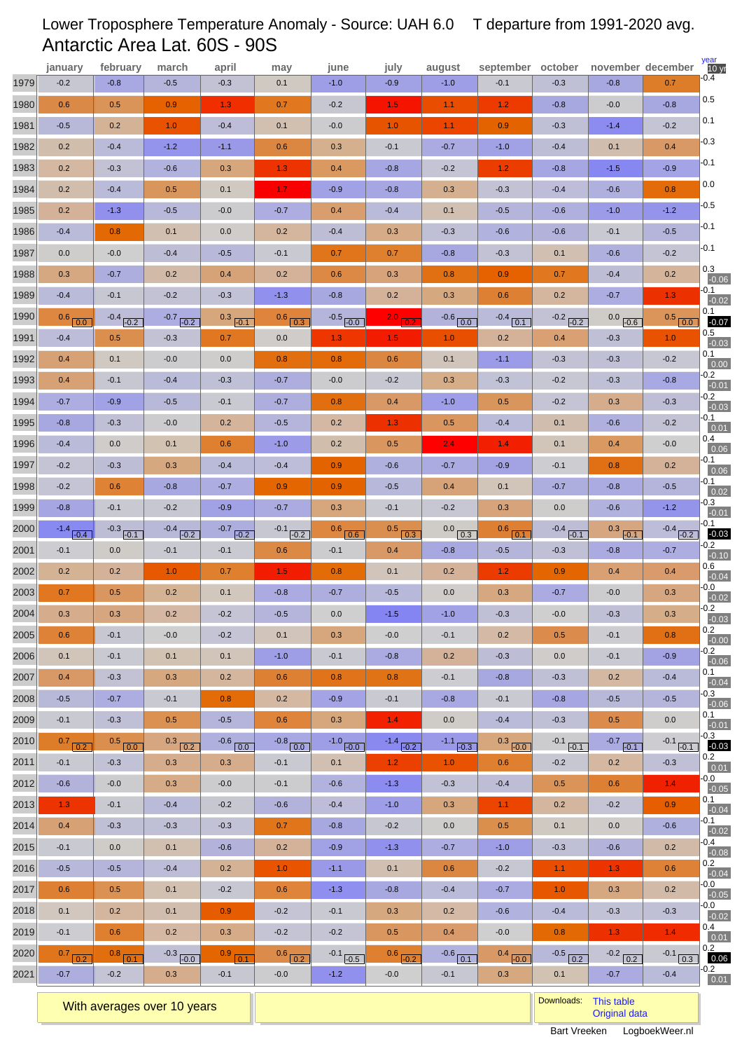# Lower Troposphere Temperature Anomaly - Source: UAH 6.0 T departure from 1991-2020 avg. Antarctic Area Lat. 60S - 90S

|      | january                 | february             | march                   | april                   | may                  | june                | july               | august                        | september                  | october                 | november december      |                                      | year<br>10 <sub>yr</sub>  |
|------|-------------------------|----------------------|-------------------------|-------------------------|----------------------|---------------------|--------------------|-------------------------------|----------------------------|-------------------------|------------------------|--------------------------------------|---------------------------|
| 1979 | $-0.2$                  | $-0.8$               | $-0.5$                  | $-0.3$                  | 0.1                  | $-1.0$              | $-0.9$             | $-1.0$                        | $-0.1$                     | $-0.3$                  | $-0.8$                 | 0.7                                  | -0.4                      |
| 1980 | 0.6                     | 0.5                  | 0.9                     | 1.3                     | 0.7                  | $-0.2$              | 1.5                | 1.1                           | 1.2                        | $-0.8$                  | $-0.0$                 | $-0.8$                               | 0.5                       |
| 1981 | $-0.5$                  | 0.2                  | 1.0                     | $-0.4$                  | 0.1                  | $-0.0$              | 1.0                | 1.1                           | 0.9                        | $-0.3$                  | $-1.4$                 | $-0.2$                               | 0.1                       |
| 1982 | 0.2                     | $-0.4$               | $-1.2$                  | $-1.1$                  | 0.6                  | 0.3                 | $-0.1$             | $-0.7$                        | $-1.0$                     | $-0.4$                  | 0.1                    | 0.4                                  | $-0.3$                    |
| 1983 | 0.2                     | $-0.3$               | $-0.6$                  | 0.3                     | 1.3                  | 0.4                 | $-0.8$             | $-0.2$                        | 1.2                        | $-0.8$                  | $-1.5$                 | $-0.9$                               | $-0.1$                    |
| 1984 | 0.2                     | $-0.4$               | 0.5                     | 0.1                     | 1.7 <sub>z</sub>     | $-0.9$              | $-0.8$             | 0.3                           | $-0.3$                     | $-0.4$                  | $-0.6$                 | 0.8                                  | 0.0                       |
| 1985 | 0.2                     | $-1.3$               | $-0.5$                  | $-0.0$                  | $-0.7$               | 0.4                 | $-0.4$             | 0.1                           | $-0.5$                     | $-0.6$                  | $-1.0$                 | $-1.2$                               | $-0.5$                    |
| 1986 | $-0.4$                  | 0.8                  | 0.1                     | 0.0                     | 0.2                  | $-0.4$              | 0.3                | $-0.3$                        | $-0.6$                     | $-0.6$                  | $-0.1$                 | $-0.5$                               | $-0.1$                    |
| 1987 | 0.0                     | $-0.0$               | $-0.4$                  | $-0.5$                  | $-0.1$               | 0.7                 | 0.7                | $-0.8$                        | $-0.3$                     | 0.1                     | $-0.6$                 | $-0.2$                               | $-0.1$                    |
| 1988 | 0.3                     | $-0.7$               | 0.2                     | 0.4                     | 0.2                  | 0.6                 | 0.3                | 0.8                           | 0.9                        | 0.7                     | $-0.4$                 | 0.2                                  | 0.3<br>$-0.06$            |
| 1989 | $-0.4$                  | $-0.1$               | $-0.2$                  | $-0.3$                  | $-1.3$               | $-0.8$              | 0.2                | 0.3                           | 0.6                        | 0.2                     | $-0.7$                 | 1.3                                  | -0.1<br>$-0.02$           |
| 1990 | $0.6$ $0.0$             | $-0.4$ $-0.2$        | $-0.7$ $-0.2$           | $0.3$ $-0.1$            | $0.6$ $0.3$          | $-0.5$ $-0.0$       | $2.0$ $0.2$        | $-0.6$ $0.0$                  | $-0.4$<br>$\overline{0.1}$ | $-0.2$ $-0.2$           | $0.0\,$<br>$-0.6$      | 0.5 <sub>1</sub><br>$\overline{0.0}$ | 0.1<br>$-0.07$            |
| 1991 | $-0.4$                  | 0.5                  | $-0.3$                  | 0.7                     | 0.0                  | 1.3                 | 1.5 <sub>1</sub>   | 1.0                           | 0.2                        | 0.4                     | $-0.3$                 | 1.0                                  | 0.5<br>$-0.03$            |
| 1992 | 0.4                     | 0.1                  | $-0.0$                  | 0.0                     | 0.8                  | 0.8                 | 0.6                | 0.1                           | $-1.1$                     | $-0.3$                  | $-0.3$                 | $-0.2$                               | 0.1<br>0.00               |
| 1993 | 0.4                     | $-0.1$               | $-0.4$                  | $-0.3$                  | $-0.7$               | $-0.0$              | $-0.2$             | 0.3                           | $-0.3$                     | $-0.2$                  | $-0.3$                 | $-0.8$                               | $-0.2$<br>$-0.01$         |
| 1994 | $-0.7$                  | $-0.9$               | $-0.5$                  | $-0.1$                  | $-0.7$               | 0.8                 | 0.4                | $-1.0$                        | 0.5                        | $-0.2$                  | 0.3                    | $-0.3$                               | $-0.2$<br>$-0.03$         |
| 1995 | $-0.8$                  | $-0.3$               | $-0.0$                  | 0.2                     | $-0.5$               | 0.2                 | 1.3                | 0.5                           | $-0.4$                     | 0.1                     | $-0.6$                 | $-0.2$                               | -0.1                      |
| 1996 | $-0.4$                  | 0.0                  | 0.1                     | 0.6                     | $-1.0$               | 0.2                 | 0.5                | 2.4                           | 1.4                        | 0.1                     | 0.4                    | $-0.0$                               | 0.01<br>0.4               |
| 1997 | $-0.2$                  | $-0.3$               | 0.3                     | $-0.4$                  | $-0.4$               | 0.9                 | $-0.6$             | $-0.7$                        | $-0.9$                     | $-0.1$                  | 0.8                    | 0.2                                  | 0.06<br>-0.1              |
| 1998 | $-0.2$                  | 0.6                  | $-0.8$                  | $-0.7$                  | 0.9                  | 0.9                 | $-0.5$             | 0.4                           | 0.1                        | $-0.7$                  | $-0.8$                 | $-0.5$                               | 0.06<br>-0.1              |
| 1999 | $-0.8$                  | $-0.1$               | $-0.2$                  | $-0.9$                  | $-0.7$               | 0.3                 | $-0.1$             | $-0.2$                        | 0.3                        | 0.0                     | $-0.6$                 | $-1.2$                               | 0.02<br>$-0.3$            |
| 2000 |                         |                      |                         |                         |                      |                     |                    |                               |                            |                         |                        |                                      | $-0.01$<br>-0.1           |
| 2001 | $-1.4$ $-0.4$<br>$-0.1$ | $-0.3$ $-0.1$<br>0.0 | $-0.4$ $-0.2$<br>$-0.1$ | $-0.7$ $-0.2$<br>$-0.1$ | $-0.1$ $-0.2$<br>0.6 | $0.6$ 0.6<br>$-0.1$ | $0.5$ $0.3$<br>0.4 | $0.0$ $\boxed{0.3}$<br>$-0.8$ | $0.6$ 0.1<br>$-0.5$        | $-0.4$ $-0.1$<br>$-0.3$ | $0.3$ $-0.1$<br>$-0.8$ | $-0.4$ $-0.2$<br>$-0.7$              | $-0.03$<br>-0.2           |
| 2002 | 0.2                     | 0.2                  | 1.0                     | 0.7                     | 1.5 <sub>1</sub>     | 0.8                 | 0.1                | 0.2                           | 1.2                        | 0.9                     | 0.4                    | 0.4                                  | $-0.10$<br>0.6            |
| 2003 | 0.7                     | 0.5                  | 0.2                     | 0.1                     | $-0.8$               | $-0.7$              | $-0.5$             | 0.0                           | 0.3                        | $-0.7$                  | $-0.0$                 | 0.3                                  | $-0.04$<br>-0.0           |
| 2004 | 0.3                     | 0.3                  | 0.2                     | $-0.2$                  | $-0.5$               | 0.0                 | $-1.5$             | $-1.0$                        | $-0.3$                     | $-0.0$                  | $-0.3$                 | 0.3                                  | $-0.02$<br>$-0.2$         |
| 2005 | 0.6                     | $-0.1$               | $-0.0$                  | $-0.2$                  | 0.1                  | 0.3                 | $-0.0$             | $-0.1$                        | 0.2                        | 0.5                     | $-0.1$                 | 0.8                                  | $-0.03$<br>0.2            |
| 2006 | 0.1                     | $-0.1$               | 0.1                     | 0.1                     | $-1.0$               | $-0.1$              | $-0.8$             | 0.2                           | $-0.3$                     | 0.0                     | $-0.1$                 | $-0.9$                               | $-0.00$<br>$-0.2$         |
| 2007 | 0.4                     | $-0.3$               | 0.3                     | 0.2                     | 0.6                  | 0.8                 | 0.8                | $-0.1$                        | $-0.8$                     | $-0.3$                  | 0.2                    | $-0.4$                               | $-0.06$<br>0.1<br>$-0.04$ |
| 2008 | $-0.5$                  | $-0.7$               | $-0.1$                  | 0.8                     | 0.2                  | $-0.9$              | $-0.1$             | $-0.8$                        | $-0.1$                     | $-0.8$                  | $-0.5$                 | $-0.5$                               | $-0.3$                    |
| 2009 | $-0.1$                  | $-0.3$               | 0.5                     | $-0.5$                  | 0.6 <sub>0</sub>     | 0.3                 | 1.4 <sub>1</sub>   | 0.0                           | $-0.4$                     | $-0.3$                  | 0.5                    | 0.0                                  | $-0.06$<br>0.1<br>$-0.01$ |
| 2010 | $0.7$ 0.2               | $0.5$ 0.0            | $0.3$ $0.2$             | $-0.6$ 0.0              | $-0.8$ 0.0           | $-1.0$ $-0.0$       | $-1.4$ $-0.2$      | $-1.1$ $-0.3$                 | $0.3$ $-0.0$               | $-0.1$ $-0.1$           | $-0.7$ $-0.1$          | $-0.1$ $-0.1$                        | -0.3<br>$-0.03$           |
| 2011 | $-0.1$                  | $-0.3$               | 0.3                     | 0.3                     | $-0.1$               | 0.1                 | 1.2 <sub>1</sub>   | 1.0 <sub>1</sub>              | 0.6                        | $-0.2$                  | 0.2                    | $-0.3$                               | 0.2                       |
| 2012 | $-0.6$                  | $-0.0$               | 0.3                     | $-0.0$                  | $-0.1$               | $-0.6$              | $-1.3$             | $-0.3$                        | $-0.4$                     | 0.5                     | 0.6                    | 1.4 <sub>1</sub>                     | 0.01<br>$-0.0$            |
| 2013 | 1.3 <sub>1</sub>        | $-0.1$               | $-0.4$                  | $-0.2$                  | $-0.6$               | $-0.4$              | $-1.0$             | 0.3                           | 1.1 <sub>1</sub>           | 0.2                     | $-0.2$                 | 0.9                                  | $-0.05$<br>0.1            |
| 2014 | 0.4                     | $-0.3$               | $-0.3$                  | $-0.3$                  | 0.7                  | $-0.8$              | $-0.2$             | 0.0                           | 0.5                        | 0.1                     | 0.0                    | $-0.6$                               | $-0.04$<br>$-0.1$         |
| 2015 | $-0.1$                  | 0.0                  | 0.1                     | $-0.6$                  | 0.2                  | $-0.9$              | $-1.3$             | $-0.7$                        | $-1.0$                     | $-0.3$                  | $-0.6$                 | 0.2                                  | $-0.02$<br>-0.4           |
| 2016 | $-0.5$                  | $-0.5$               | $-0.4$                  | 0.2                     | 1.0 <sub>1</sub>     | $-1.1$              | 0.1                | 0.6                           | $-0.2$                     | 1.1 <sub>1</sub>        | 1.3                    | 0.6                                  | $-0.08$<br>0.2            |
| 2017 | 0.6                     | 0.5                  | 0.1                     | $-0.2$                  | 0.6                  | $-1.3$              | $-0.8$             | $-0.4$                        | $-0.7$                     | 1.0                     | 0.3                    | 0.2                                  | $-0.04$<br>$-0.0$         |
| 2018 | 0.1                     | 0.2                  | 0.1                     | 0.9                     | $-0.2$               | $-0.1$              | 0.3                | 0.2                           | $-0.6$                     | $-0.4$                  | $-0.3$                 | $-0.3$                               | $-0.05$<br>-0.0           |
| 2019 | $-0.1$                  | 0.6                  | 0.2                     | 0.3                     | $-0.2$               | $-0.2$              | 0.5                | 0.4                           | $-0.0$                     | 0.8                     | 1.3                    | 1.4                                  | $-0.02$<br>0.4            |
| 2020 |                         |                      |                         |                         |                      |                     |                    |                               |                            |                         | $-0.21$                | $-0.1$                               | 0.01<br>0.2               |
|      | $0.7$ $0.2$             | $0.8$ $0.1$          | $-0.3$ $-0.0$           | $0.9$ $0.1$             | $0.6$ $0.2$          | $-0.1$ $-0.5$       | $0.6$ $-0.2$       | $-0.6$ 0.1                    | $0.4$ $-0.0$               | $-0.5$ 0.2              | 0.2                    | 0.3                                  | 0.06<br>$-0.2$            |
| 2021 | $-0.7$                  | $-0.2$               | 0.3                     | $-0.1$                  | $-0.0$               | $-1.2$              | $-0.0$             | $-0.1$                        | 0.3                        | 0.1                     | $-0.7$                 | $-0.4$                               | 0.01                      |

With averages over 10 years **Downloads:** [This table](http://www.logboekweer.nl/International/SOPOL.CSV) with averages over 10 years **Downloads:** This table with averages over 10 years **Downloads:** This table with averages over 10 years **Downloads:** Original downloads: Criti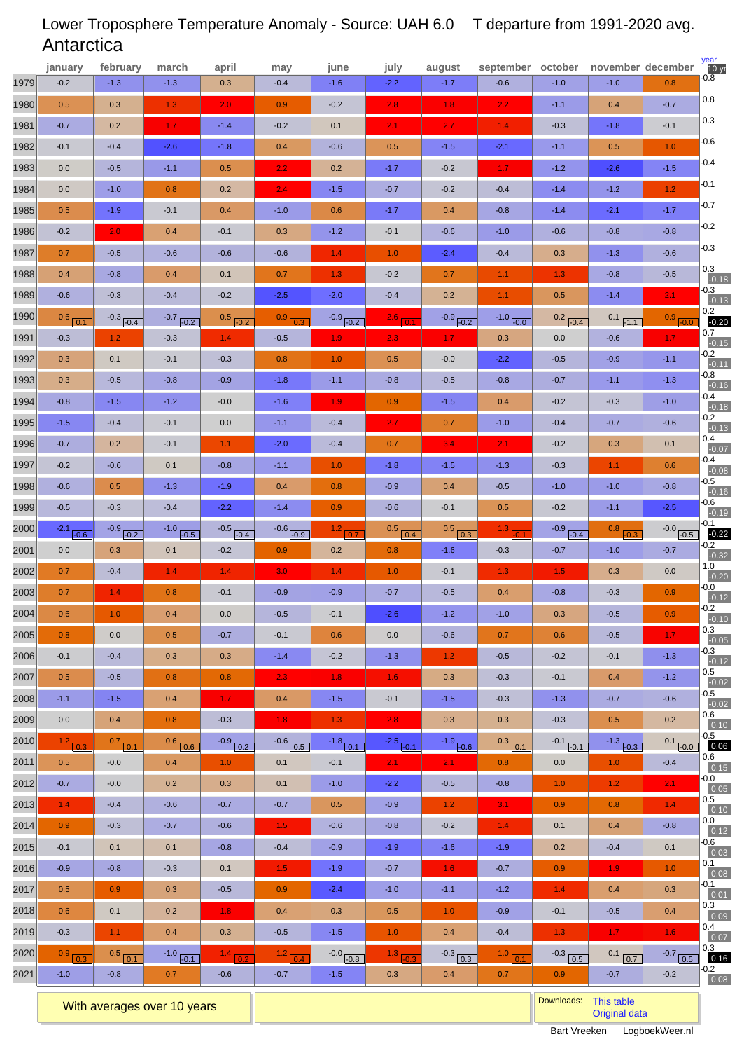# Lower Troposphere Temperature Anomaly - Source: UAH 6.0 T departure from 1991-2020 avg. **Antarctica**

|      | january               | february              | march                | april               | may                 | june                    | july                | august              | september     | october                 |                  | november december          | year<br>10 <sub>yr</sub><br>$-0.8$ |
|------|-----------------------|-----------------------|----------------------|---------------------|---------------------|-------------------------|---------------------|---------------------|---------------|-------------------------|------------------|----------------------------|------------------------------------|
| 1979 | $-0.2$                | $-1.3$                | $-1.3$               | 0.3                 | $-0.4$              | $-1.6$                  | $-2.2$              | $-1.7$              | $-0.6$        | $-1.0$                  | $-1.0$           | 0.8                        |                                    |
| 1980 | 0.5                   | 0.3                   | 1.3                  | 2.0                 | 0.9                 | $-0.2$                  | 2.8                 | 1.8                 | 2.2           | $-1.1$                  | 0.4              | $-0.7$                     | 0.8                                |
| 1981 | $-0.7$                | 0.2                   | 1.7                  | $-1.4$              | $-0.2$              | 0.1                     | 2.1 <sub>1</sub>    | 2.7                 | 1.4           | $-0.3$                  | $-1.8$           | $-0.1$                     | 0.3                                |
| 1982 | $-0.1$                | $-0.4$                | $-2.6$               | $-1.8$              | 0.4                 | $-0.6$                  | 0.5                 | $-1.5$              | $-2.1$        | $-1.1$                  | 0.5              | 1.0                        | $-0.6$                             |
| 1983 | 0.0                   | $-0.5$                | $-1.1$               | 0.5                 | 2.2                 | 0.2                     | $-1.7$              | $-0.2$              | 1.7           | $-1.2$                  | $-2.6$           | $-1.5$                     | -0.4                               |
| 1984 | 0.0                   | $-1.0$                | 0.8                  | 0.2                 | 2.4                 | $-1.5$                  | $-0.7$              | $-0.2$              | $-0.4$        | $-1.4$                  | $-1.2$           | 1.2                        | -0.1                               |
| 1985 | 0.5                   | $-1.9$                | $-0.1$               | 0.4                 | $-1.0$              | 0.6                     | $-1.7$              | 0.4                 | $-0.8$        | $-1.4$                  | $-2.1$           | $-1.7$                     | $-0.7$                             |
| 1986 | $-0.2$                | 2.0                   | 0.4                  | $-0.1$              | 0.3                 | $-1.2$                  | $-0.1$              | $-0.6$              | $-1.0$        | $-0.6$                  | $-0.8$           | $-0.8$                     | $-0.2$                             |
| 1987 | 0.7                   | $-0.5$                | $-0.6$               | $-0.6$              | $-0.6$              | 1.4                     | 1.0                 | $-2.4$              | $-0.4$        | 0.3                     | $-1.3$           | $-0.6$                     | $-0.3$                             |
| 1988 | 0.4                   | $-0.8$                | 0.4                  | 0.1                 | 0.7                 | 1.3                     | $-0.2$              | 0.7                 | 1.1           | 1.3                     | $-0.8$           | $-0.5$                     | 0.3<br>$-0.18$                     |
| 1989 | $-0.6$                | $-0.3$                | $-0.4$               | $-0.2$              | $-2.5$              | $-2.0$                  | $-0.4$              | 0.2                 | 1.1           | 0.5                     | $-1.4$           | 2.1                        | $-0.3$<br>$-0.13$                  |
| 1990 | $0.6$ $0.1$           | $-0.3$ $-0.4$         | $-0.7$ $-0.2$        | $0.5$ $-0.2$        | $0.9$ $0.3$         | $-0.9$ $-0.2$           | 2.6 0.0             | $-0.9$ $-0.2$       | $-1.0$ $-0.0$ | 0.2<br>$-0.4$           | $0.1$ $-1.1$     | $0.9$ $-0.0$               | 0.2<br>$-0.20$                     |
| 1991 | $-0.3$                | 1.2 <sub>2</sub>      | $-0.3$               | 1.4                 | $-0.5$              | 1.9 <sub>1</sub>        | 2.3 <sub>1</sub>    | 1.7 <sub>z</sub>    | 0.3           | 0.0                     | $-0.6$           | 1.7                        | $0.7\,$<br>$-0.15$                 |
| 1992 | 0.3                   | 0.1                   | $-0.1$               | $-0.3$              | 0.8                 | 1.0                     | 0.5                 | $-0.0$              | $-2.2$        | $-0.5$                  | $-0.9$           | $-1.1$                     | -0.2<br>$-0.11$                    |
| 1993 | 0.3                   | $-0.5$                | $-0.8$               | $-0.9$              | $-1.8$              | $-1.1$                  | $-0.8$              | $-0.5$              | $-0.8$        | $-0.7$                  | $-1.1$           | $-1.3$                     | -0.8<br>$-0.16$                    |
| 1994 | $-0.8$                | $-1.5$                | $-1.2$               | $-0.0$              | $-1.6$              | 1.9 <sub>1</sub>        | 0.9                 | $-1.5$              | 0.4           | $-0.2$                  | $-0.3$           | $-1.0$                     | $-0.4$<br>$-0.18$                  |
| 1995 | $-1.5$                | $-0.4$                | $-0.1$               | 0.0                 | $-1.1$              | $-0.4$                  | 2.7 <sub>z</sub>    | 0.7                 | $-1.0$        | $-0.4$                  | $-0.7$           | $-0.6$                     | $-0.2$<br>$-0.13$                  |
| 1996 | $-0.7$                | 0.2                   | $-0.1$               | 1.1                 | $-2.0$              | $-0.4$                  | 0.7                 | 3.4                 | 2.1           | $-0.2$                  | 0.3              | 0.1                        | 0.4<br>$-0.07$                     |
| 1997 | $-0.2$                | $-0.6$                | 0.1                  | $-0.8$              | $-1.1$              | 1.0                     | $-1.8$              | $-1.5$              | $-1.3$        | $-0.3$                  | 1.1              | 0.6                        | -0.4<br>$-0.08$                    |
| 1998 | $-0.6$                | 0.5                   | $-1.3$               | $-1.9$              | 0.4                 | 0.8                     | $-0.9$              | 0.4                 | $-0.5$        | $-1.0$                  | $-1.0$           | $-0.8$                     | -0.5<br>$-0.16$                    |
| 1999 | $-0.5$                | $-0.3$                | $-0.4$               | $-2.2$              | $-1.4$              | 0.9                     | $-0.6$              | $-0.1$              | 0.5           | $-0.2$                  | $-1.1$           | $-2.5$                     | $-0.6$<br>$-0.19$                  |
| 2000 | $-2.1$ $-0.6$         | $-0.9$ $-0.2$         | $-1.0$ $-0.5$        | $-0.5$ $-0.4$       | $-0.6$ $-0.9$       | $1.2$ 0.7               | $0.5$ $0.4$         | $0.5$ $0.3$         | 1.3 .0.1      | $-0.9$ $-0.4$           | $0.8$ $-0.3$     | $-0.0$ $-0.5$              | $-0.1$<br>$-0.22$                  |
| 2001 | 0.0                   | 0.3                   | 0.1                  | $-0.2$              | 0.9                 | 0.2                     | 0.8                 | $-1.6$              | $-0.3$        | $-0.7$                  | $-1.0$           | $-0.7$                     | -0.2<br>$-0.32$                    |
| 2002 | 0.7                   | $-0.4$                | 1.4                  | 1.4                 | 3.0 <sub>1</sub>    | 1.4                     | 1.0                 | $-0.1$              | 1.3           | 1.5                     | 0.3              | 0.0                        | 1.0<br>$-0.20$                     |
| 2003 | 0.7                   | 1.4                   | 0.8                  | $-0.1$              | $-0.9$              | $-0.9$                  | $-0.7$              | $-0.5$              | 0.4           | $-0.8$                  | $-0.3$           | 0.9                        | $-0.0$<br>$-0.12$                  |
| 2004 | 0.6                   | 1.0 <sub>1</sub>      | 0.4                  | 0.0                 | $-0.5$              | $-0.1$                  | $-2.6$              | $-1.2$              | $-1.0$        | 0.3                     | $-0.5$           | 0.9                        | $-0.2$<br>$-0.10$                  |
| 2005 | 0.8                   | $0.0\,$               | $0.5\,$              | $-0.7$              | $-0.1$              | 0.6                     | 0.0                 | $-0.6$              | 0.7           | 0.6                     | $-0.5$           | 1.7                        | 0.3<br>$-0.05$                     |
| 2006 | $-0.1$                | $-0.4$                | 0.3                  | 0.3                 | $-1.4$              | $-0.2$                  | $-1.3$              | 1.2                 | $-0.5$        | $-0.2$                  | $-0.1$           | $-1.3$                     | $-0.3$<br>$-0.12$                  |
| 2007 | 0.5                   | $-0.5$                | 0.8                  | 0.8                 | 2.3                 | $1.8$                   | 1.6                 | 0.3                 | $-0.3$        | $-0.1$                  | 0.4              | $-1.2$                     | 0.5<br>$-0.02$                     |
| 2008 | $-1.1$                | $-1.5$                | 0.4                  | 1.7                 | 0.4                 | $-1.5$                  | $-0.1$              | $-1.5$              | $-0.3$        | $-1.3$                  | $-0.7$           | $-0.6$                     | -0.5<br>$-0.02$                    |
| 2009 | 0.0                   | 0.4                   | 0.8                  | $-0.3$              | 1.8                 | 1.3 <sub>1</sub>        | 2.8                 | 0.3                 | 0.3           | $-0.3$                  | 0.5              | 0.2                        | 0.6<br>0.10                        |
| 2010 | $1.2$ 0.3             | $0.7$ 0.1             | $0.6$ 0.6            | $-0.9$ $0.2$        | $-0.6$ 0.5          | $-1.8$ 0.1              | $-2.5$ $-0.1$       | $-1.9$ $-0.6$       | $0.3$ $0.1$   | $-0.1$ $-0.1$           | $-1.3$ $-0.3$    | $0.1$ $-0.0$               | $-0.5$<br>0.06                     |
| 2011 | 0.5                   | $-0.0$                | 0.4                  | 1.0                 | 0.1                 | $-0.1$                  | $2.1 -$             | $2.1^{\circ}$       | 0.8           | 0.0                     | 1.0              | $-0.4$                     | $0.6\,$<br>0.15                    |
| 2012 | $-0.7$                | $-0.0$                | 0.2                  | 0.3                 | 0.1                 | $-1.0$                  | $-2.2$              | $-0.5$              | $-0.8$        | 1.0                     | 1.2              | 2.1                        | $-0.0$<br>0.05                     |
| 2013 | 1.4 <sub>1</sub>      | $-0.4$                | $-0.6$               | $-0.7$              | $-0.7$              | 0.5                     | $-0.9$              | 1.2                 | 3.1           | 0.9                     | 0.8              | 1.4                        | 0.5<br>0.10                        |
| 2014 | 0.9                   | $-0.3$                | $-0.7$               | $-0.6$              | 1.5 <sub>1</sub>    | $-0.6$                  | $-0.8$              | $-0.2$              | $1.4$         | 0.1                     | 0.4              | $-0.8$                     | 0.0                                |
| 2015 | $-0.1$                | 0.1                   | 0.1                  | $-0.8$              | $-0.4$              | $-0.9$                  | $-1.9$              | $-1.6$              | $-1.9$        | 0.2                     | $-0.4$           | 0.1                        | 0.12<br>$-0.6$                     |
| 2016 | $-0.9$                | $-0.8$                | $-0.3$               | 0.1                 | 1.5                 | $-1.9$                  | $-0.7$              | 1.6                 | $-0.7$        | 0.9                     | 1.9              | 1.0                        | 0.03<br>0.1                        |
| 2017 | 0.5                   | 0.9                   | 0.3                  | $-0.5$              | 0.9                 | $-2.4$                  | $-1.0$              | $-1.1$              | $-1.2$        | 1.4                     | 0.4              | 0.3                        | 0.08<br>-0.1                       |
| 2018 | 0.6                   | 0.1                   | 0.2                  | 1.8                 | 0.4                 | 0.3                     | 0.5                 | 1.0                 | $-0.9$        | $-0.1$                  | $-0.5$           | 0.4                        | 0.01<br>0.3                        |
| 2019 | $-0.3$                | 1.1 <sub>1</sub>      | 0.4                  | 0.3                 | $-0.5$              | $-1.5$                  | 1.0                 | 0.4                 | $-0.4$        | 1.3                     | 1.7 <sub>z</sub> | $1.6$                      | 0.09<br>0.4                        |
| 2020 |                       |                       |                      |                     |                     |                         |                     |                     | $1.0$ $0.1$   |                         | 0.1              | $-0.7$                     | 0.07<br>0.3                        |
| 2021 | $0.9$ $0.3$<br>$-1.0$ | $0.5$ $0.1$<br>$-0.8$ | $-1.0$ $-0.1$<br>0.7 | $1.4$ 0.2<br>$-0.6$ | $1.2$ 0.4<br>$-0.7$ | $-0.0$ $-0.8$<br>$-1.5$ | $1.3$ $-0.3$<br>0.3 | $-0.3$ $0.3$<br>0.4 | 0.7           | $-0.3$ $0.5$<br>$0.9\,$ | 0.7<br>$-0.7$    | $\overline{0.5}$<br>$-0.2$ | 0.16<br>$-0.2$                     |
|      |                       |                       |                      |                     |                     |                         |                     |                     |               |                         |                  |                            | 0.08                               |

With averages over 10 years **Downloads:** [This table](http://www.logboekweer.nl/International/LandSP.CSV)